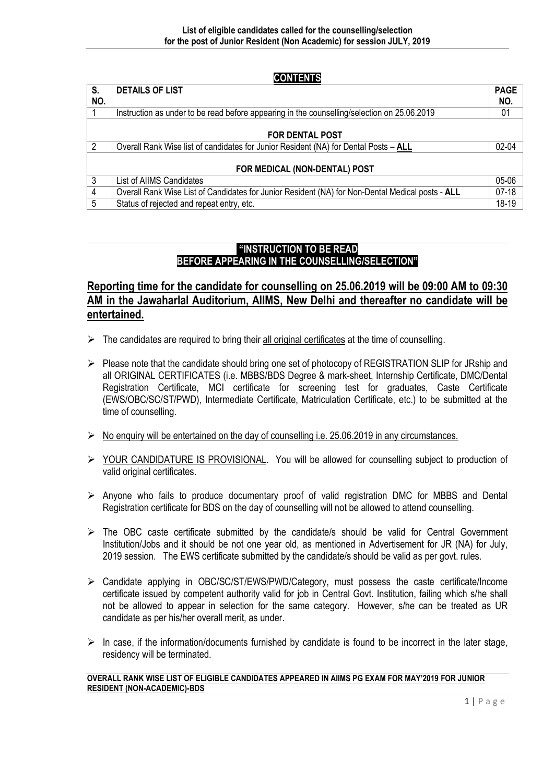CONTENTS

| S.             | <b>DETAILS OF LIST</b>                                                                           | <b>PAGE</b> |
|----------------|--------------------------------------------------------------------------------------------------|-------------|
| NO.            |                                                                                                  | NO.         |
|                | Instruction as under to be read before appearing in the counselling/selection on 25.06.2019      | 01          |
|                |                                                                                                  |             |
|                | <b>FOR DENTAL POST</b>                                                                           |             |
| $\overline{2}$ | Overall Rank Wise list of candidates for Junior Resident (NA) for Dental Posts - ALL             | $02 - 04$   |
|                |                                                                                                  |             |
|                | FOR MEDICAL (NON-DENTAL) POST                                                                    |             |
| 3              | List of AIIMS Candidates                                                                         | 05-06       |
| $\overline{4}$ | Overall Rank Wise List of Candidates for Junior Resident (NA) for Non-Dental Medical posts - ALL | $07-18$     |
| 5              | Status of rejected and repeat entry, etc.                                                        | $18-19$     |

# "INSTRUCTION TO BE READ BEFORE APPEARING IN THE COUNSELLING/SELECTION"

# Reporting time for the candidate for counselling on 25.06.2019 will be 09:00 AM to 09:30 AM in the Jawaharlal Auditorium, AIIMS, New Delhi and thereafter no candidate will be entertained.

- $\triangleright$  The candidates are required to bring their all original certificates at the time of counselling.
- $\triangleright$  Please note that the candidate should bring one set of photocopy of REGISTRATION SLIP for JRship and all ORIGINAL CERTIFICATES (i.e. MBBS/BDS Degree & mark-sheet, Internship Certificate, DMC/Dental Registration Certificate, MCI certificate for screening test for graduates, Caste Certificate (EWS/OBC/SC/ST/PWD), Intermediate Certificate, Matriculation Certificate, etc.) to be submitted at the time of counselling.
- $\triangleright$  No enquiry will be entertained on the day of counselling i.e. 25.06.2019 in any circumstances.
- ▶ YOUR CANDIDATURE IS PROVISIONAL. You will be allowed for counselling subject to production of valid original certificates.
- $\triangleright$  Anyone who fails to produce documentary proof of valid registration DMC for MBBS and Dental Registration certificate for BDS on the day of counselling will not be allowed to attend counselling.
- $\triangleright$  The OBC caste certificate submitted by the candidate/s should be valid for Central Government Institution/Jobs and it should be not one year old, as mentioned in Advertisement for JR (NA) for July, 2019 session. The EWS certificate submitted by the candidate/s should be valid as per govt. rules.
- Candidate applying in OBC/SC/ST/EWS/PWD/Category, must possess the caste certificate/Income certificate issued by competent authority valid for job in Central Govt. Institution, failing which s/he shall not be allowed to appear in selection for the same category. However, s/he can be treated as UR candidate as per his/her overall merit, as under.
- $\triangleright$  In case, if the information/documents furnished by candidate is found to be incorrect in the later stage, residency will be terminated.

#### OVERALL RANK WISE LIST OF ELIGIBLE CANDIDATES APPEARED IN AIIMS PG EXAM FOR MAY'2019 FOR JUNIOR RESIDENT (NON-ACADEMIC)-BDS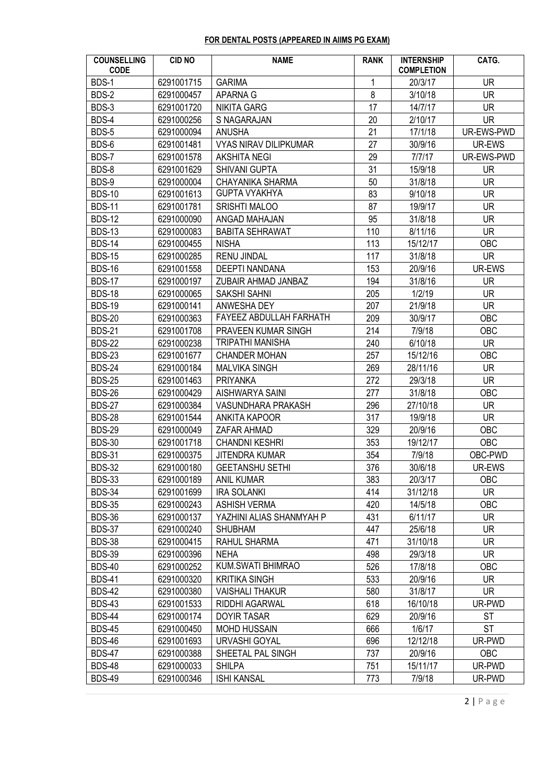## FOR DENTAL POSTS (APPEARED IN AIIMS PG EXAM)

| <b>COUNSELLING</b><br><b>CODE</b> | <b>CID NO</b> | <b>NAME</b>                    | <b>RANK</b> | <b>INTERNSHIP</b><br><b>COMPLETION</b> | CATG.      |
|-----------------------------------|---------------|--------------------------------|-------------|----------------------------------------|------------|
| BDS-1                             | 6291001715    | <b>GARIMA</b>                  | 1           | 20/3/17                                | <b>UR</b>  |
| BDS-2                             | 6291000457    | APARNA G                       | 8           | 3/10/18                                | <b>UR</b>  |
| BDS-3                             | 6291001720    | <b>NIKITA GARG</b>             | 17          | 14/7/17                                | <b>UR</b>  |
| BDS-4                             | 6291000256    | S NAGARAJAN                    | 20          | 2/10/17                                | <b>UR</b>  |
| BDS-5                             | 6291000094    | <b>ANUSHA</b>                  | 21          | 17/1/18                                | UR-EWS-PWD |
| BDS-6                             | 6291001481    | <b>VYAS NIRAV DILIPKUMAR</b>   | 27          | 30/9/16                                | UR-EWS     |
| BDS-7                             | 6291001578    | <b>AKSHITA NEGI</b>            | 29          | 7/7/17                                 | UR-EWS-PWD |
| BDS-8                             | 6291001629    | SHIVANI GUPTA                  | 31          | 15/9/18                                | <b>UR</b>  |
| BDS-9                             | 6291000004    | <b>CHAYANIKA SHARMA</b>        | 50          | 31/8/18                                | <b>UR</b>  |
| <b>BDS-10</b>                     | 6291001613    | <b>GUPTA VYAKHYA</b>           | 83          | 9/10/18                                | <b>UR</b>  |
| <b>BDS-11</b>                     | 6291001781    | <b>SRISHTI MALOO</b>           | 87          | 19/9/17                                | <b>UR</b>  |
| <b>BDS-12</b>                     | 6291000090    | ANGAD MAHAJAN                  | 95          | 31/8/18                                | <b>UR</b>  |
| <b>BDS-13</b>                     | 6291000083    | <b>BABITA SEHRAWAT</b>         | 110         | 8/11/16                                | <b>UR</b>  |
| <b>BDS-14</b>                     | 6291000455    | <b>NISHA</b>                   | 113         | 15/12/17                               | OBC        |
| <b>BDS-15</b>                     | 6291000285    | <b>RENU JINDAL</b>             | 117         | 31/8/18                                | <b>UR</b>  |
| <b>BDS-16</b>                     | 6291001558    | <b>DEEPTI NANDANA</b>          | 153         | 20/9/16                                | UR-EWS     |
| <b>BDS-17</b>                     | 6291000197    | ZUBAIR AHMAD JANBAZ            | 194         | 31/8/16                                | <b>UR</b>  |
| <b>BDS-18</b>                     | 6291000065    | <b>SAKSHI SAHNI</b>            | 205         | 1/2/19                                 | <b>UR</b>  |
| <b>BDS-19</b>                     | 6291000141    | ANWESHA DEY                    | 207         | 21/9/18                                | <b>UR</b>  |
| <b>BDS-20</b>                     | 6291000363    | <b>FAYEEZ ABDULLAH FARHATH</b> | 209         | 30/9/17                                | OBC        |
| <b>BDS-21</b>                     | 6291001708    | PRAVEEN KUMAR SINGH            | 214         | 7/9/18                                 | OBC        |
| <b>BDS-22</b>                     | 6291000238    | <b>TRIPATHI MANISHA</b>        | 240         | 6/10/18                                | <b>UR</b>  |
| <b>BDS-23</b>                     | 6291001677    | <b>CHANDER MOHAN</b>           | 257         | 15/12/16                               | OBC        |
| <b>BDS-24</b>                     | 6291000184    | <b>MALVIKA SINGH</b>           | 269         | 28/11/16                               | UR.        |
| <b>BDS-25</b>                     | 6291001463    | <b>PRIYANKA</b>                | 272         | 29/3/18                                | <b>UR</b>  |
| <b>BDS-26</b>                     | 6291000429    | AISHWARYA SAINI                | 277         | 31/8/18                                | OBC        |
| <b>BDS-27</b>                     | 6291000384    | VASUNDHARA PRAKASH             | 296         | 27/10/18                               | <b>UR</b>  |
| <b>BDS-28</b>                     | 6291001544    | ANKITA KAPOOR                  | 317         | 19/9/18                                | <b>UR</b>  |
| <b>BDS-29</b>                     | 6291000049    | ZAFAR AHMAD                    | 329         | 20/9/16                                | OBC        |
| <b>BDS-30</b>                     | 6291001718    | <b>CHANDNI KESHRI</b>          | 353         | 19/12/17                               | OBC        |
| <b>BDS-31</b>                     | 6291000375    | <b>JITENDRA KUMAR</b>          | 354         | 7/9/18                                 | OBC-PWD    |
| <b>BDS-32</b>                     | 6291000180    | <b>GEETANSHU SETHI</b>         | 376         | 30/6/18                                | UR-EWS     |
| <b>BDS-33</b>                     | 6291000189    | <b>ANIL KUMAR</b>              | 383         | 20/3/17                                | <b>OBC</b> |
| <b>BDS-34</b>                     | 6291001699    | <b>IRA SOLANKI</b>             | 414         | 31/12/18                               | <b>UR</b>  |
| <b>BDS-35</b>                     | 6291000243    | <b>ASHISH VERMA</b>            | 420         | 14/5/18                                | OBC        |
| <b>BDS-36</b>                     | 6291000137    | YAZHINI ALIAS SHANMYAH P       | 431         | 6/11/17                                | <b>UR</b>  |
| <b>BDS-37</b>                     | 6291000240    | <b>SHUBHAM</b>                 | 447         | 25/6/18                                | UR.        |
| <b>BDS-38</b>                     | 6291000415    | <b>RAHUL SHARMA</b>            | 471         | 31/10/18                               | <b>UR</b>  |
| <b>BDS-39</b>                     | 6291000396    | <b>NEHA</b>                    | 498         | 29/3/18                                | <b>UR</b>  |
| <b>BDS-40</b>                     | 6291000252    | KUM.SWATI BHIMRAO              | 526         | 17/8/18                                | OBC        |
| <b>BDS-41</b>                     | 6291000320    | <b>KRITIKA SINGH</b>           | 533         | 20/9/16                                | UR.        |
| <b>BDS-42</b>                     | 6291000380    | <b>VAISHALI THAKUR</b>         | 580         | 31/8/17                                | UR.        |
| <b>BDS-43</b>                     | 6291001533    | RIDDHI AGARWAL                 | 618         | 16/10/18                               | UR-PWD     |
| <b>BDS-44</b>                     | 6291000174    | <b>DOYIR TASAR</b>             | 629         | 20/9/16                                | <b>ST</b>  |
| <b>BDS-45</b>                     | 6291000450    | <b>MOHD HUSSAIN</b>            | 666         | 1/6/17                                 | <b>ST</b>  |
| <b>BDS-46</b>                     | 6291001693    | URVASHI GOYAL                  | 696         | 12/12/18                               | UR-PWD     |
| <b>BDS-47</b>                     | 6291000388    | SHEETAL PAL SINGH              | 737         | 20/9/16                                | OBC        |
| <b>BDS-48</b>                     | 6291000033    | <b>SHILPA</b>                  | 751         | 15/11/17                               | UR-PWD     |
| <b>BDS-49</b>                     | 6291000346    | <b>ISHI KANSAL</b>             | 773         | 7/9/18                                 | UR-PWD     |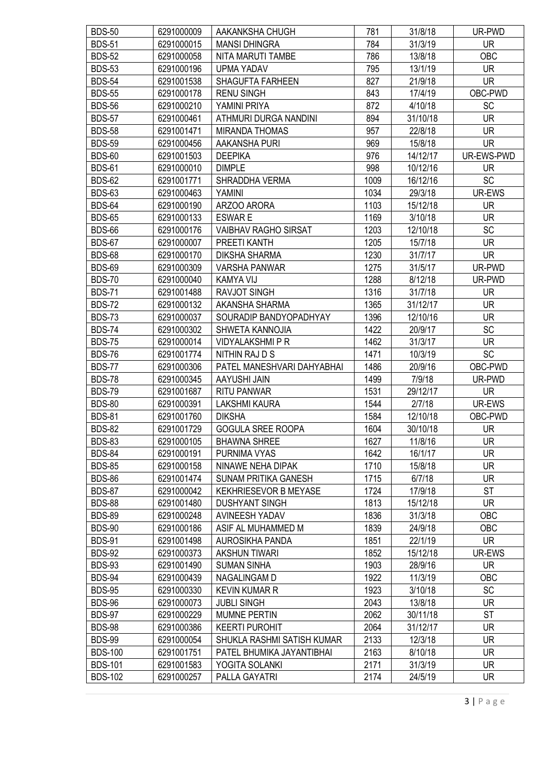| <b>BDS-50</b>  | 6291000009 | AAKANKSHA CHUGH             | 781  | 31/8/18  | UR-PWD     |
|----------------|------------|-----------------------------|------|----------|------------|
| <b>BDS-51</b>  | 6291000015 | <b>MANSI DHINGRA</b>        | 784  | 31/3/19  | <b>UR</b>  |
| <b>BDS-52</b>  | 6291000058 | NITA MARUTI TAMBE           | 786  | 13/8/18  | OBC        |
| <b>BDS-53</b>  | 6291000196 | <b>UPMA YADAV</b>           | 795  | 13/1/19  | <b>UR</b>  |
| <b>BDS-54</b>  | 6291001538 | <b>SHAGUFTA FARHEEN</b>     | 827  | 21/9/18  | <b>UR</b>  |
| <b>BDS-55</b>  | 6291000178 | <b>RENU SINGH</b>           | 843  | 17/4/19  | OBC-PWD    |
| <b>BDS-56</b>  | 6291000210 | YAMINI PRIYA                | 872  | 4/10/18  | SC         |
| <b>BDS-57</b>  | 6291000461 | ATHMURI DURGA NANDINI       | 894  | 31/10/18 | <b>UR</b>  |
| <b>BDS-58</b>  | 6291001471 | <b>MIRANDA THOMAS</b>       | 957  | 22/8/18  | <b>UR</b>  |
| <b>BDS-59</b>  | 6291000456 | AAKANSHA PURI               | 969  | 15/8/18  | <b>UR</b>  |
| <b>BDS-60</b>  | 6291001503 | <b>DEEPIKA</b>              | 976  | 14/12/17 | UR-EWS-PWD |
| <b>BDS-61</b>  | 6291000010 | <b>DIMPLE</b>               | 998  | 10/12/16 | <b>UR</b>  |
| <b>BDS-62</b>  | 6291001771 | SHRADDHA VERMA              | 1009 | 16/12/16 | <b>SC</b>  |
| <b>BDS-63</b>  | 6291000463 | YAMINI                      | 1034 | 29/3/18  | UR-EWS     |
| <b>BDS-64</b>  | 6291000190 | ARZOO ARORA                 | 1103 | 15/12/18 | UR.        |
| <b>BDS-65</b>  | 6291000133 | <b>ESWARE</b>               | 1169 | 3/10/18  | <b>UR</b>  |
| <b>BDS-66</b>  | 6291000176 | <b>VAIBHAV RAGHO SIRSAT</b> | 1203 | 12/10/18 | SC         |
| <b>BDS-67</b>  | 6291000007 | PREETI KANTH                | 1205 | 15/7/18  | <b>UR</b>  |
| <b>BDS-68</b>  | 6291000170 | <b>DIKSHA SHARMA</b>        | 1230 | 31/7/17  | <b>UR</b>  |
| <b>BDS-69</b>  | 6291000309 | <b>VARSHA PANWAR</b>        | 1275 | 31/5/17  | UR-PWD     |
| <b>BDS-70</b>  | 6291000040 | <b>KAMYA VIJ</b>            | 1288 | 8/12/18  | UR-PWD     |
| <b>BDS-71</b>  | 6291001488 | <b>RAVJOT SINGH</b>         | 1316 | 31/7/18  | <b>UR</b>  |
| <b>BDS-72</b>  | 6291000132 | AKANSHA SHARMA              | 1365 | 31/12/17 | <b>UR</b>  |
| <b>BDS-73</b>  | 6291000037 | SOURADIP BANDYOPADHYAY      | 1396 | 12/10/16 | <b>UR</b>  |
| <b>BDS-74</b>  | 6291000302 | SHWETA KANNOJIA             | 1422 | 20/9/17  | <b>SC</b>  |
| <b>BDS-75</b>  | 6291000014 | <b>VIDYALAKSHMI P R</b>     | 1462 | 31/3/17  | <b>UR</b>  |
| <b>BDS-76</b>  | 6291001774 | NITHIN RAJ D S              | 1471 | 10/3/19  | SC         |
| <b>BDS-77</b>  | 6291000306 | PATEL MANESHVARI DAHYABHAI  | 1486 | 20/9/16  | OBC-PWD    |
| <b>BDS-78</b>  | 6291000345 | AAYUSHI JAIN                | 1499 | 7/9/18   | UR-PWD     |
| <b>BDS-79</b>  | 6291001687 | <b>RITU PANWAR</b>          | 1531 | 29/12/17 | <b>UR</b>  |
| <b>BDS-80</b>  | 6291000391 | <b>LAKSHMI KAURA</b>        | 1544 | 2/7/18   | UR-EWS     |
| <b>BDS-81</b>  | 6291001760 | <b>DIKSHA</b>               | 1584 | 12/10/18 | OBC-PWD    |
| <b>BDS-82</b>  | 6291001729 | <b>GOGULA SREE ROOPA</b>    | 1604 | 30/10/18 | <b>UR</b>  |
| <b>BDS-83</b>  | 6291000105 | <b>BHAWNA SHREE</b>         | 1627 | 11/8/16  | <b>UR</b>  |
| <b>BDS-84</b>  | 6291000191 | PURNIMA VYAS                | 1642 | 16/1/17  | UR.        |
| <b>BDS-85</b>  | 6291000158 | NINAWE NEHA DIPAK           | 1710 | 15/8/18  | <b>UR</b>  |
| <b>BDS-86</b>  | 6291001474 | <b>SUNAM PRITIKA GANESH</b> | 1715 | 6/7/18   | <b>UR</b>  |
| <b>BDS-87</b>  | 6291000042 | KEKHRIESEVOR B MEYASE       | 1724 | 17/9/18  | <b>ST</b>  |
| <b>BDS-88</b>  | 6291001480 | <b>DUSHYANT SINGH</b>       | 1813 | 15/12/18 | <b>UR</b>  |
| <b>BDS-89</b>  | 6291000248 | AVINEESH YADAV              | 1836 | 31/3/18  | OBC        |
| <b>BDS-90</b>  | 6291000186 | ASIF AL MUHAMMED M          | 1839 | 24/9/18  | <b>OBC</b> |
| <b>BDS-91</b>  | 6291001498 | AUROSIKHA PANDA             | 1851 | 22/1/19  | <b>UR</b>  |
| <b>BDS-92</b>  | 6291000373 | <b>AKSHUN TIWARI</b>        | 1852 | 15/12/18 | UR-EWS     |
| <b>BDS-93</b>  | 6291001490 | <b>SUMAN SINHA</b>          | 1903 | 28/9/16  | <b>UR</b>  |
| <b>BDS-94</b>  | 6291000439 | NAGALINGAM D                | 1922 | 11/3/19  | OBC        |
| <b>BDS-95</b>  | 6291000330 | <b>KEVIN KUMAR R</b>        | 1923 | 3/10/18  | <b>SC</b>  |
| <b>BDS-96</b>  | 6291000073 | <b>JUBLI SINGH</b>          | 2043 | 13/8/18  | <b>UR</b>  |
| <b>BDS-97</b>  | 6291000229 | <b>MUMNE PERTIN</b>         | 2062 | 30/11/18 | ST         |
| <b>BDS-98</b>  | 6291000386 | <b>KEERTI PUROHIT</b>       | 2064 | 31/12/17 | <b>UR</b>  |
| <b>BDS-99</b>  | 6291000054 | SHUKLA RASHMI SATISH KUMAR  | 2133 | 12/3/18  | <b>UR</b>  |
| <b>BDS-100</b> | 6291001751 | PATEL BHUMIKA JAYANTIBHAI   | 2163 | 8/10/18  | <b>UR</b>  |
| <b>BDS-101</b> | 6291001583 | YOGITA SOLANKI              | 2171 | 31/3/19  | <b>UR</b>  |
| <b>BDS-102</b> | 6291000257 | PALLA GAYATRI               | 2174 | 24/5/19  | <b>UR</b>  |
|                |            |                             |      |          |            |

3 | P a g e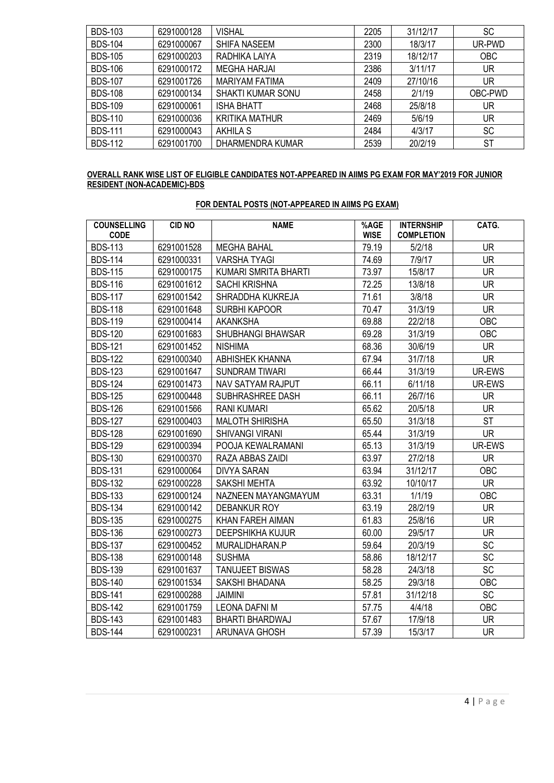| <b>BDS-103</b> | 6291000128 | <b>VISHAL</b>            | 2205 | 31/12/17 | SC         |
|----------------|------------|--------------------------|------|----------|------------|
| <b>BDS-104</b> | 6291000067 | <b>SHIFA NASEEM</b>      | 2300 | 18/3/17  | UR-PWD     |
| <b>BDS-105</b> | 6291000203 | RADHIKA LAIYA            | 2319 | 18/12/17 | <b>OBC</b> |
| <b>BDS-106</b> | 6291000172 | <b>MEGHA HARJAI</b>      | 2386 | 3/11/17  | UR         |
| <b>BDS-107</b> | 6291001726 | <b>MARIYAM FATIMA</b>    | 2409 | 27/10/16 | UR         |
| <b>BDS-108</b> | 6291000134 | <b>SHAKTI KUMAR SONU</b> | 2458 | 2/1/19   | OBC-PWD    |
| <b>BDS-109</b> | 6291000061 | <b>ISHA BHATT</b>        | 2468 | 25/8/18  | UR         |
| <b>BDS-110</b> | 6291000036 | <b>KRITIKA MATHUR</b>    | 2469 | 5/6/19   | UR         |
| <b>BDS-111</b> | 6291000043 | <b>AKHILA S</b>          | 2484 | 4/3/17   | SC         |
| <b>BDS-112</b> | 6291001700 | DHARMENDRA KUMAR         | 2539 | 20/2/19  | <b>ST</b>  |

#### OVERALL RANK WISE LIST OF ELIGIBLE CANDIDATES NOT-APPEARED IN AIIMS PG EXAM FOR MAY'2019 FOR JUNIOR RESIDENT (NON-ACADEMIC)-BDS

| <b>COUNSELLING</b><br><b>CODE</b> | <b>CID NO</b> | <b>NAME</b>                 | %AGE<br><b>WISE</b> | <b>INTERNSHIP</b><br><b>COMPLETION</b> | CATG.     |
|-----------------------------------|---------------|-----------------------------|---------------------|----------------------------------------|-----------|
| <b>BDS-113</b>                    | 6291001528    | <b>MEGHA BAHAL</b>          | 79.19               | 5/2/18                                 | <b>UR</b> |
| <b>BDS-114</b>                    | 6291000331    | <b>VARSHA TYAGI</b>         | 74.69               | 7/9/17                                 | <b>UR</b> |
| <b>BDS-115</b>                    | 6291000175    | <b>KUMARI SMRITA BHARTI</b> | 73.97               | 15/8/17                                | <b>UR</b> |
| <b>BDS-116</b>                    | 6291001612    | <b>SACHI KRISHNA</b>        | 72.25               | 13/8/18                                | <b>UR</b> |
| <b>BDS-117</b>                    | 6291001542    | SHRADDHA KUKREJA            | 71.61               | 3/8/18                                 | <b>UR</b> |
| <b>BDS-118</b>                    | 6291001648    | <b>SURBHI KAPOOR</b>        | 70.47               | 31/3/19                                | <b>UR</b> |
| <b>BDS-119</b>                    | 6291000414    | <b>AKANKSHA</b>             | 69.88               | 22/2/18                                | OBC       |
| <b>BDS-120</b>                    | 6291001683    | <b>SHUBHANGI BHAWSAR</b>    | 69.28               | 31/3/19                                | OBC       |
| <b>BDS-121</b>                    | 6291001452    | <b>NISHIMA</b>              | 68.36               | 30/6/19                                | <b>UR</b> |
| <b>BDS-122</b>                    | 6291000340    | <b>ABHISHEK KHANNA</b>      | 67.94               | 31/7/18                                | <b>UR</b> |
| <b>BDS-123</b>                    | 6291001647    | <b>SUNDRAM TIWARI</b>       | 66.44               | 31/3/19                                | UR-EWS    |
| <b>BDS-124</b>                    | 6291001473    | <b>NAV SATYAM RAJPUT</b>    | 66.11               | 6/11/18                                | UR-EWS    |
| <b>BDS-125</b>                    | 6291000448    | SUBHRASHREE DASH            | 66.11               | 26/7/16                                | <b>UR</b> |
| <b>BDS-126</b>                    | 6291001566    | <b>RANI KUMARI</b>          | 65.62               | 20/5/18                                | <b>UR</b> |
| <b>BDS-127</b>                    | 6291000403    | <b>MALOTH SHIRISHA</b>      | 65.50               | 31/3/18                                | <b>ST</b> |
| <b>BDS-128</b>                    | 6291001690    | <b>SHIVANGI VIRANI</b>      | 65.44               | 31/3/19                                | <b>UR</b> |
| <b>BDS-129</b>                    | 6291000394    | POOJA KEWALRAMANI           | 65.13               | 31/3/19                                | UR-EWS    |
| <b>BDS-130</b>                    | 6291000370    | RAZA ABBAS ZAIDI            | 63.97               | 27/2/18                                | <b>UR</b> |
| <b>BDS-131</b>                    | 6291000064    | <b>DIVYA SARAN</b>          | 63.94               | 31/12/17                               | OBC       |
| <b>BDS-132</b>                    | 6291000228    | <b>SAKSHI MEHTA</b>         | 63.92               | 10/10/17                               | <b>UR</b> |
| <b>BDS-133</b>                    | 6291000124    | NAZNEEN MAYANGMAYUM         | 63.31               | 1/1/19                                 | OBC       |
| <b>BDS-134</b>                    | 6291000142    | <b>DEBANKUR ROY</b>         | 63.19               | 28/2/19                                | <b>UR</b> |
| <b>BDS-135</b>                    | 6291000275    | KHAN FAREH AIMAN            | 61.83               | 25/8/16                                | <b>UR</b> |
| <b>BDS-136</b>                    | 6291000273    | <b>DEEPSHIKHA KUJUR</b>     | 60.00               | 29/5/17                                | <b>UR</b> |
| <b>BDS-137</b>                    | 6291000452    | MURALIDHARAN.P              | 59.64               | 20/3/19                                | SC        |
| <b>BDS-138</b>                    | 6291000148    | <b>SUSHMA</b>               | 58.86               | 18/12/17                               | SC        |
| <b>BDS-139</b>                    | 6291001637    | <b>TANUJEET BISWAS</b>      | 58.28               | 24/3/18                                | SC        |
| <b>BDS-140</b>                    | 6291001534    | SAKSHI BHADANA              | 58.25               | 29/3/18                                | OBC       |
| <b>BDS-141</b>                    | 6291000288    | <b>JAIMINI</b>              | 57.81               | 31/12/18                               | <b>SC</b> |
| <b>BDS-142</b>                    | 6291001759    | <b>LEONA DAFNI M</b>        | 57.75               | 4/4/18                                 | OBC       |
| <b>BDS-143</b>                    | 6291001483    | <b>BHARTI BHARDWAJ</b>      | 57.67               | 17/9/18                                | <b>UR</b> |
| <b>BDS-144</b>                    | 6291000231    | ARUNAVA GHOSH               | 57.39               | 15/3/17                                | <b>UR</b> |

# FOR DENTAL POSTS (NOT-APPEARED IN AIIMS PG EXAM)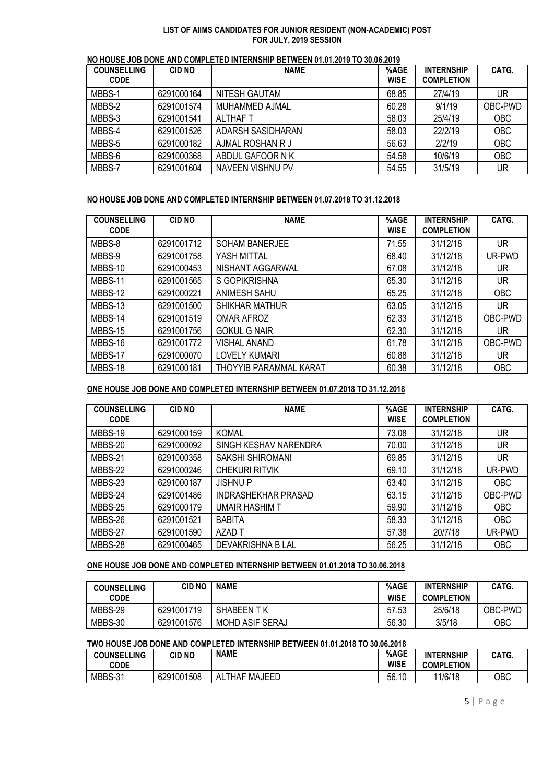#### LIST OF AIIMS CANDIDATES FOR JUNIOR RESIDENT (NON-ACADEMIC) POST FOR JULY, 2019 SESSION

|  | NO HOUSE JOB DONE AND COMPLETED INTERNSHIP BETWEEN 01.01.2019 TO 30.06.2019 |
|--|-----------------------------------------------------------------------------|
|  |                                                                             |

| <b>COUNSELLING</b><br><b>CODE</b> | <b>CID NO</b> | <b>NAME</b>       | %AGE<br><b>WISE</b> | <b>INTERNSHIP</b><br><b>COMPLETION</b> | CATG.      |
|-----------------------------------|---------------|-------------------|---------------------|----------------------------------------|------------|
|                                   |               |                   |                     |                                        |            |
| MBBS-1                            | 6291000164    | NITESH GAUTAM     | 68.85               | 27/4/19                                | UR         |
| MBBS-2                            | 6291001574    | MUHAMMED AJMAL    | 60.28               | 9/1/19                                 | OBC-PWD    |
| MBBS-3                            | 6291001541    | ALTHAF T          | 58.03               | 25/4/19                                | <b>OBC</b> |
| MBBS-4                            | 6291001526    | ADARSH SASIDHARAN | 58.03               | 22/2/19                                | <b>OBC</b> |
| MBBS-5                            | 6291000182    | AJMAL ROSHAN R J  | 56.63               | 2/2/19                                 | <b>OBC</b> |
| MBBS-6                            | 6291000368    | ABDUL GAFOOR N K  | 54.58               | 10/6/19                                | <b>OBC</b> |
| MBBS-7                            | 6291001604    | NAVEEN VISHNU PV  | 54.55               | 31/5/19                                | UR         |

# NO HOUSE JOB DONE AND COMPLETED INTERNSHIP BETWEEN 01.07.2018 TO 31.12.2018

| <b>COUNSELLING</b><br><b>CODE</b> | <b>CID NO</b> | <b>NAME</b>                   | %AGE<br><b>WISE</b> | <b>INTERNSHIP</b><br><b>COMPLETION</b> | CATG.      |
|-----------------------------------|---------------|-------------------------------|---------------------|----------------------------------------|------------|
| MBBS-8                            | 6291001712    | <b>SOHAM BANERJEE</b>         | 71.55               | 31/12/18                               | UR         |
| MBBS-9                            | 6291001758    | YASH MITTAL                   | 68.40               | 31/12/18                               | UR-PWD     |
| MBBS-10                           | 6291000453    | NISHANT AGGARWAL              | 67.08               | 31/12/18                               | UR.        |
| MBBS-11                           | 6291001565    | S GOPIKRISHNA                 | 65.30               | 31/12/18                               | UR         |
| MBBS-12                           | 6291000221    | ANIMESH SAHU                  | 65.25               | 31/12/18                               | <b>OBC</b> |
| MBBS-13                           | 6291001500    | <b>SHIKHAR MATHUR</b>         | 63.05               | 31/12/18                               | UR         |
| MBBS-14                           | 6291001519    | OMAR AFROZ                    | 62.33               | 31/12/18                               | OBC-PWD    |
| MBBS-15                           | 6291001756    | <b>GOKUL G NAIR</b>           | 62.30               | 31/12/18                               | UR         |
| MBBS-16                           | 6291001772    | VISHAL ANAND                  | 61.78               | 31/12/18                               | OBC-PWD    |
| MBBS-17                           | 6291000070    | <b>LOVELY KUMARI</b>          | 60.88               | 31/12/18                               | UR         |
| MBBS-18                           | 6291000181    | <b>THOYYIB PARAMMAL KARAT</b> | 60.38               | 31/12/18                               | <b>OBC</b> |

## ONE HOUSE JOB DONE AND COMPLETED INTERNSHIP BETWEEN 01.07.2018 TO 31.12.2018

| <b>COUNSELLING</b><br><b>CODE</b> | <b>CID NO</b> | <b>NAME</b>           | %AGE<br><b>WISE</b> | <b>INTERNSHIP</b><br><b>COMPLETION</b> | CATG.      |
|-----------------------------------|---------------|-----------------------|---------------------|----------------------------------------|------------|
| MBBS-19                           | 6291000159    | <b>KOMAL</b>          | 73.08               | 31/12/18                               | <b>UR</b>  |
| MBBS-20                           | 6291000092    | SINGH KESHAV NARENDRA | 70.00               | 31/12/18                               | UR         |
| MBBS-21                           | 6291000358    | SAKSHI SHIROMANI      | 69.85               | 31/12/18                               | UR         |
| MBBS-22                           | 6291000246    | <b>CHEKURI RITVIK</b> | 69.10               | 31/12/18                               | UR-PWD     |
| MBBS-23                           | 6291000187    | <b>JISHNUP</b>        | 63.40               | 31/12/18                               | <b>OBC</b> |
| MBBS-24                           | 6291001486    | INDRASHEKHAR PRASAD   | 63.15               | 31/12/18                               | OBC-PWD    |
| MBBS-25                           | 6291000179    | <b>UMAIR HASHIM T</b> | 59.90               | 31/12/18                               | <b>OBC</b> |
| MBBS-26                           | 6291001521    | <b>BABITA</b>         | 58.33               | 31/12/18                               | <b>OBC</b> |
| MBBS-27                           | 6291001590    | AZAD T                | 57.38               | 20/7/18                                | UR-PWD     |
| MBBS-28                           | 6291000465    | DEVAKRISHNA B LAL     | 56.25               | 31/12/18                               | <b>OBC</b> |

# ONE HOUSE JOB DONE AND COMPLETED INTERNSHIP BETWEEN 01.01.2018 TO 30.06.2018

| <b>COUNSELLING</b><br><b>CODE</b> | CID NO     | <b>NAME</b>       | %AGE<br><b>WISE</b> | <b>INTERNSHIP</b><br><b>COMPLETION</b> | CATG.   |
|-----------------------------------|------------|-------------------|---------------------|----------------------------------------|---------|
| MBBS-29                           | 6291001719 | <b>SHABEEN TK</b> | 57.53               | 25/6/18                                | OBC-PWD |
| MBBS-30                           | 6291001576 | MOHD ASIF SERAJ   | 56.30               | 3/5/18                                 | OBC     |

# TWO HOUSE JOB DONE AND COMPLETED INTERNSHIP BETWEEN 01.01.2018 TO 30.06.2018

| <b>COUNSELLING</b> | CID NO     | <b>NAME</b>                    | %AGE        | <b>INTERNSHIP</b> | CATG. |
|--------------------|------------|--------------------------------|-------------|-------------------|-------|
| <b>CODE</b>        |            |                                | <b>WISE</b> | <b>COMPLETION</b> |       |
| MBBS-31            | 6291001508 | <b>MAJEED</b><br>.THAF<br>AL 1 | 56.10       | 11/6/18           | OBC   |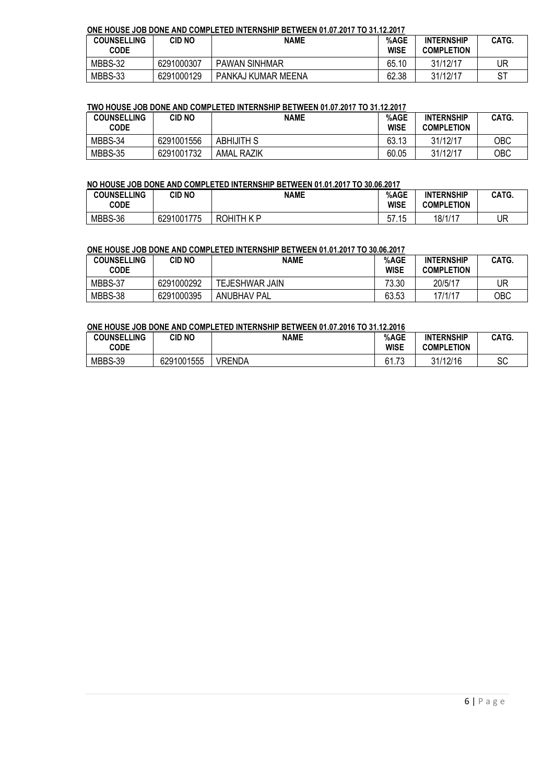# ONE HOUSE JOB DONE AND COMPLETED INTERNSHIP BETWEEN 01.07.2017 TO 31.12.2017

| <b>COUNSELLING</b><br><b>CODE</b> | CID NO     | <b>NAME</b>          | %AGE<br><b>WISE</b> | <b>INTERNSHIP</b><br><b>COMPLETION</b> | CATG. |
|-----------------------------------|------------|----------------------|---------------------|----------------------------------------|-------|
| MBBS-32                           | 6291000307 | <b>PAWAN SINHMAR</b> | 65.10               | 31/12/17                               | UR    |
| MBBS-33                           | 6291000129 | PANKAJ KUMAR MEENA   | 62.38               | 31/12/17                               |       |

#### TWO HOUSE JOB DONE AND COMPLETED INTERNSHIP BETWEEN 01.07.2017 TO 31.12.2017

| <b>COUNSELLING</b><br><b>CODE</b> | <b>CID NO</b> | <b>NAME</b>       | %AGE<br><b>WISE</b> | <b>INTERNSHIP</b><br><b>COMPLETION</b> | CATG. |
|-----------------------------------|---------------|-------------------|---------------------|----------------------------------------|-------|
| MBBS-34                           | 6291001556    | <b>ABHIJITH S</b> | 63.13               | 31/12/17                               | OBC   |
| MBBS-35                           | 6291001732    | <b>AMAL RAZIK</b> | 60.05               | 31/12/17                               | OBC   |

## NO HOUSE JOB DONE AND COMPLETED INTERNSHIP BETWEEN 01.01.2017 TO 30.06.2017

| <b>COUNSELLING</b><br><b>CODE</b> | CID NO     | NAME       | %AGE<br><b>WISE</b> | <b>INTERNSHIP</b><br><b>COMPLETION</b> | CATG. |
|-----------------------------------|------------|------------|---------------------|----------------------------------------|-------|
| MBBS-36                           | 6291001775 | ROHITH K P | 57<br>15<br>ں ، ، ں | 18/1/17                                | UR    |

## ONE HOUSE JOB DONE AND COMPLETED INTERNSHIP BETWEEN 01.01.2017 TO 30.06.2017

| <b>COUNSELLING</b><br>CODE | CID NO     | <b>NAME</b>           | %AGE<br><b>WISE</b> | <b>INTERNSHIP</b><br><b>COMPLETION</b> | CATG. |
|----------------------------|------------|-----------------------|---------------------|----------------------------------------|-------|
| MBBS-37                    | 6291000292 | <b>TEJESHWAR JAIN</b> | 73.30               | 20/5/17                                | UR    |
| MBBS-38                    | 6291000395 | ANUBHAV PAL           | 63.53               | 17/1/17                                | ОВС   |

#### ONE HOUSE JOB DONE AND COMPLETED INTERNSHIP BETWEEN 01.07.2016 TO 31.12.2016

| <b>COUNSELLING</b><br>CODE | CID NO     | <b>NAME</b>   | %AGE<br><b>WISE</b>                    | <b>INTERNSHIP</b><br><b>COMPLETION</b> | CATG.    |
|----------------------------|------------|---------------|----------------------------------------|----------------------------------------|----------|
| MBBS-39                    | 6291001555 | <b>VRENDA</b> | ົ<br>$\overline{\phantom{a}}$<br>01.73 | 31/12/16                               | c٢<br>οU |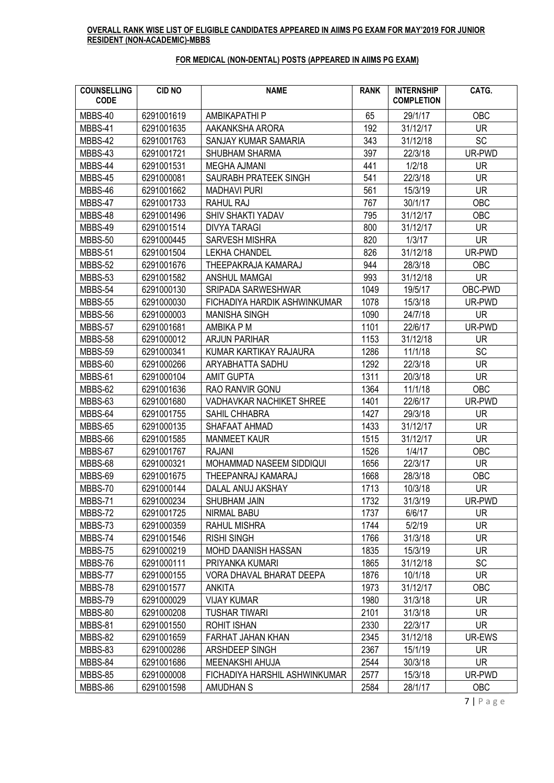## OVERALL RANK WISE LIST OF ELIGIBLE CANDIDATES APPEARED IN AIIMS PG EXAM FOR MAY'2019 FOR JUNIOR RESIDENT (NON-ACADEMIC)-MBBS

# FOR MEDICAL (NON-DENTAL) POSTS (APPEARED IN AIIMS PG EXAM)

| <b>COUNSELLING</b><br><b>CODE</b> | <b>CID NO</b> | <b>NAME</b>                     | <b>RANK</b> | <b>INTERNSHIP</b><br><b>COMPLETION</b> | CATG.      |
|-----------------------------------|---------------|---------------------------------|-------------|----------------------------------------|------------|
| MBBS-40                           | 6291001619    | AMBIKAPATHI P                   | 65          | 29/1/17                                | OBC        |
| MBBS-41                           | 6291001635    | AAKANKSHA ARORA                 | 192         | 31/12/17                               | <b>UR</b>  |
| MBBS-42                           | 6291001763    | SANJAY KUMAR SAMARIA            | 343         | 31/12/18                               | <b>SC</b>  |
| MBBS-43                           | 6291001721    | <b>SHUBHAM SHARMA</b>           | 397         | 22/3/18                                | UR-PWD     |
| MBBS-44                           | 6291001531    | <b>MEGHA AJMANI</b>             | 441         | 1/2/18                                 | <b>UR</b>  |
| MBBS-45                           | 6291000081    | SAURABH PRATEEK SINGH           | 541         | 22/3/18                                | <b>UR</b>  |
| MBBS-46                           | 6291001662    | <b>MADHAVI PURI</b>             | 561         | 15/3/19                                | <b>UR</b>  |
| MBBS-47                           | 6291001733    | <b>RAHUL RAJ</b>                | 767         | 30/1/17                                | OBC        |
| MBBS-48                           | 6291001496    | SHIV SHAKTI YADAV               | 795         | 31/12/17                               | OBC        |
| MBBS-49                           | 6291001514    | <b>DIVYA TARAGI</b>             | 800         | 31/12/17                               | <b>UR</b>  |
| MBBS-50                           | 6291000445    | <b>SARVESH MISHRA</b>           | 820         | 1/3/17                                 | <b>UR</b>  |
| MBBS-51                           | 6291001504    | <b>LEKHA CHANDEL</b>            | 826         | 31/12/18                               | UR-PWD     |
| MBBS-52                           | 6291001676    | THEEPAKRAJA KAMARAJ             | 944         | 28/3/18                                | <b>OBC</b> |
| MBBS-53                           | 6291001582    | <b>ANSHUL MAMGAI</b>            | 993         | 31/12/18                               | <b>UR</b>  |
| MBBS-54                           | 6291000130    | <b>SRIPADA SARWESHWAR</b>       | 1049        | 19/5/17                                | OBC-PWD    |
| MBBS-55                           | 6291000030    | FICHADIYA HARDIK ASHWINKUMAR    | 1078        | 15/3/18                                | UR-PWD     |
| MBBS-56                           | 6291000003    | <b>MANISHA SINGH</b>            | 1090        | 24/7/18                                | <b>UR</b>  |
| MBBS-57                           | 6291001681    | AMBIKA P M                      | 1101        | 22/6/17                                | UR-PWD     |
| MBBS-58                           | 6291000012    | <b>ARJUN PARIHAR</b>            | 1153        | 31/12/18                               | <b>UR</b>  |
| MBBS-59                           | 6291000341    | KUMAR KARTIKAY RAJAURA          | 1286        | 11/1/18                                | SC         |
| MBBS-60                           | 6291000266    | ARYABHATTA SADHU                | 1292        | 22/3/18                                | <b>UR</b>  |
| MBBS-61                           | 6291000104    | <b>AMIT GUPTA</b>               | 1311        | 20/3/18                                | <b>UR</b>  |
| MBBS-62                           | 6291001636    | <b>RAO RANVIR GONU</b>          | 1364        | 11/1/18                                | OBC        |
| MBBS-63                           | 6291001680    | <b>VADHAVKAR NACHIKET SHREE</b> | 1401        | 22/6/17                                | UR-PWD     |
| MBBS-64                           | 6291001755    | SAHIL CHHABRA                   | 1427        | 29/3/18                                | <b>UR</b>  |
| MBBS-65                           | 6291000135    | SHAFAAT AHMAD                   | 1433        | 31/12/17                               | UR.        |
| MBBS-66                           | 6291001585    | <b>MANMEET KAUR</b>             | 1515        | 31/12/17                               | <b>UR</b>  |
| MBBS-67                           | 6291001767    | <b>RAJANI</b>                   | 1526        | 1/4/17                                 | OBC        |
| MBBS-68                           | 6291000321    | MOHAMMAD NASEEM SIDDIQUI        | 1656        | 22/3/17                                | <b>UR</b>  |
| MBBS-69                           | 6291001675    | THEEPANRAJ KAMARAJ              | 1668        | 28/3/18                                | OBC        |
| MBBS-70                           | 6291000144    | DALAL ANUJ AKSHAY               | 1713        | 10/3/18                                | UR         |
| MBBS-71                           | 6291000234    | SHUBHAM JAIN                    | 1732        | 31/3/19                                | UR-PWD     |
| MBBS-72                           | 6291001725    | NIRMAL BABU                     | 1737        | 6/6/17                                 | UR.        |
| MBBS-73                           | 6291000359    | <b>RAHUL MISHRA</b>             | 1744        | 5/2/19                                 | <b>UR</b>  |
| MBBS-74                           | 6291001546    | <b>RISHI SINGH</b>              | 1766        | 31/3/18                                | UR.        |
| MBBS-75                           | 6291000219    | MOHD DAANISH HASSAN             | 1835        | 15/3/19                                | <b>UR</b>  |
| MBBS-76                           | 6291000111    | PRIYANKA KUMARI                 | 1865        | 31/12/18                               | <b>SC</b>  |
| MBBS-77                           | 6291000155    | VORA DHAVAL BHARAT DEEPA        | 1876        | 10/1/18                                | <b>UR</b>  |
| MBBS-78                           | 6291001577    | <b>ANKITA</b>                   | 1973        | 31/12/17                               | OBC        |
| MBBS-79                           | 6291000029    | <b>VIJAY KUMAR</b>              | 1980        | 31/3/18                                | UR         |
| MBBS-80                           | 6291000208    | <b>TUSHAR TIWARI</b>            | 2101        | 31/3/18                                | <b>UR</b>  |
| MBBS-81                           | 6291001550    | <b>ROHIT ISHAN</b>              | 2330        | 22/3/17                                | UR.        |
| MBBS-82                           | 6291001659    | FARHAT JAHAN KHAN               | 2345        | 31/12/18                               | UR-EWS     |
| MBBS-83                           | 6291000286    | ARSHDEEP SINGH                  | 2367        | 15/1/19                                | UR.        |
| MBBS-84                           | 6291001686    | MEENAKSHI AHUJA                 | 2544        | 30/3/18                                | <b>UR</b>  |
| MBBS-85                           | 6291000008    | FICHADIYA HARSHIL ASHWINKUMAR   | 2577        | 15/3/18                                | UR-PWD     |
| MBBS-86                           | 6291001598    | AMUDHAN S                       | 2584        | 28/1/17                                | <b>OBC</b> |

7 | P a g e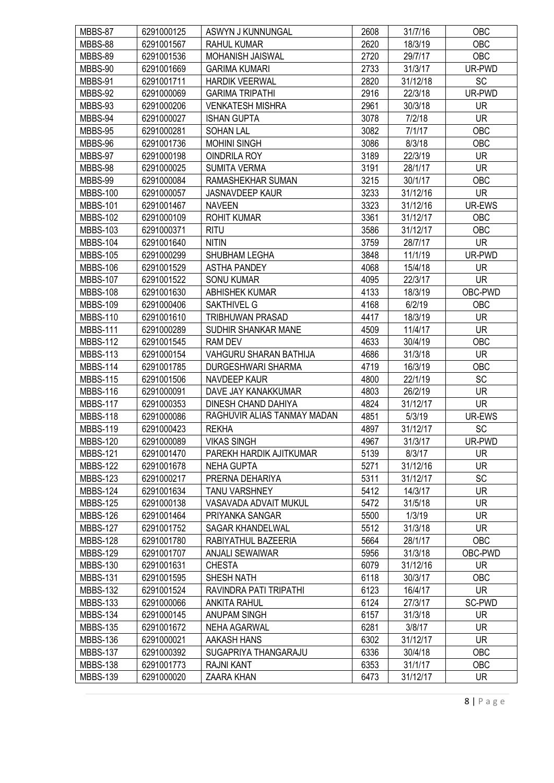| MBBS-87         | 6291000125 | ASWYN J KUNNUNGAL             | 2608 | 31/7/16  | <b>OBC</b> |
|-----------------|------------|-------------------------------|------|----------|------------|
| MBBS-88         | 6291001567 | <b>RAHUL KUMAR</b>            | 2620 | 18/3/19  | OBC        |
| MBBS-89         | 6291001536 | MOHANISH JAISWAL              | 2720 | 29/7/17  | OBC        |
| MBBS-90         | 6291001669 | <b>GARIMA KUMARI</b>          | 2733 | 31/3/17  | UR-PWD     |
| MBBS-91         | 6291001711 | <b>HARDIK VEERWAL</b>         | 2820 | 31/12/18 | <b>SC</b>  |
| MBBS-92         | 6291000069 | <b>GARIMA TRIPATHI</b>        | 2916 | 22/3/18  | UR-PWD     |
| MBBS-93         | 6291000206 | <b>VENKATESH MISHRA</b>       | 2961 | 30/3/18  | <b>UR</b>  |
| MBBS-94         | 6291000027 | <b>ISHAN GUPTA</b>            | 3078 | 7/2/18   | <b>UR</b>  |
| MBBS-95         | 6291000281 | <b>SOHAN LAL</b>              | 3082 | 7/1/17   | OBC        |
| MBBS-96         | 6291001736 | <b>MOHINI SINGH</b>           | 3086 | 8/3/18   | <b>OBC</b> |
| MBBS-97         | 6291000198 | <b>OINDRILA ROY</b>           | 3189 | 22/3/19  | <b>UR</b>  |
| MBBS-98         | 6291000025 | <b>SUMITA VERMA</b>           | 3191 | 28/1/17  | <b>UR</b>  |
| MBBS-99         | 6291000084 | RAMASHEKHAR SUMAN             | 3215 | 30/1/17  | OBC        |
| <b>MBBS-100</b> | 6291000057 | <b>JASNAVDEEP KAUR</b>        | 3233 | 31/12/16 | <b>UR</b>  |
| <b>MBBS-101</b> | 6291001467 | <b>NAVEEN</b>                 | 3323 | 31/12/16 | UR-EWS     |
| <b>MBBS-102</b> | 6291000109 | <b>ROHIT KUMAR</b>            | 3361 | 31/12/17 | <b>OBC</b> |
| <b>MBBS-103</b> | 6291000371 | <b>RITU</b>                   | 3586 | 31/12/17 | OBC        |
| <b>MBBS-104</b> | 6291001640 | <b>NITIN</b>                  | 3759 | 28/7/17  | <b>UR</b>  |
|                 | 6291000299 |                               |      |          |            |
| <b>MBBS-105</b> |            | SHUBHAM LEGHA                 | 3848 | 11/1/19  | UR-PWD     |
| <b>MBBS-106</b> | 6291001529 | <b>ASTHA PANDEY</b>           | 4068 | 15/4/18  | <b>UR</b>  |
| <b>MBBS-107</b> | 6291001522 | <b>SONU KUMAR</b>             | 4095 | 22/3/17  | <b>UR</b>  |
| <b>MBBS-108</b> | 6291001630 | <b>ABHISHEK KUMAR</b>         | 4133 | 18/3/19  | OBC-PWD    |
| <b>MBBS-109</b> | 6291000406 | SAKTHIVEL G                   | 4168 | 6/2/19   | <b>OBC</b> |
| <b>MBBS-110</b> | 6291001610 | <b>TRIBHUWAN PRASAD</b>       | 4417 | 18/3/19  | <b>UR</b>  |
| <b>MBBS-111</b> | 6291000289 | SUDHIR SHANKAR MANE           | 4509 | 11/4/17  | <b>UR</b>  |
| <b>MBBS-112</b> | 6291001545 | <b>RAM DEV</b>                | 4633 | 30/4/19  | OBC        |
| <b>MBBS-113</b> | 6291000154 | <b>VAHGURU SHARAN BATHIJA</b> | 4686 | 31/3/18  | <b>UR</b>  |
| <b>MBBS-114</b> | 6291001785 | DURGESHWARI SHARMA            | 4719 | 16/3/19  | OBC        |
| <b>MBBS-115</b> | 6291001506 | NAVDEEP KAUR                  | 4800 | 22/1/19  | SC         |
| <b>MBBS-116</b> | 6291000091 | DAVE JAY KANAKKUMAR           | 4803 | 26/2/19  | <b>UR</b>  |
| <b>MBBS-117</b> | 6291000353 | DINESH CHAND DAHIYA           | 4824 | 31/12/17 | <b>UR</b>  |
| <b>MBBS-118</b> | 6291000086 | RAGHUVIR ALIAS TANMAY MADAN   | 4851 | 5/3/19   | UR-EWS     |
| <b>MBBS-119</b> | 6291000423 | <b>REKHA</b>                  | 4897 | 31/12/17 | SC         |
| <b>MBBS-120</b> | 6291000089 | <b>VIKAS SINGH</b>            | 4967 | 31/3/17  | UR-PWD     |
| <b>MBBS-121</b> | 6291001470 | PAREKH HARDIK AJITKUMAR       | 5139 | 8/3/17   | UR.        |
| <b>MBBS-122</b> | 6291001678 | <b>NEHA GUPTA</b>             | 5271 | 31/12/16 | <b>UR</b>  |
| <b>MBBS-123</b> | 6291000217 | PRERNA DEHARIYA               | 5311 | 31/12/17 | <b>SC</b>  |
| <b>MBBS-124</b> | 6291001634 | <b>TANU VARSHNEY</b>          | 5412 | 14/3/17  | <b>UR</b>  |
| <b>MBBS-125</b> | 6291000138 | VASAVADA ADVAIT MUKUL         | 5472 | 31/5/18  | <b>UR</b>  |
| <b>MBBS-126</b> | 6291001464 | PRIYANKA SANGAR               | 5500 | 1/3/19   | <b>UR</b>  |
| <b>MBBS-127</b> | 6291001752 | SAGAR KHANDELWAL              | 5512 | 31/3/18  | <b>UR</b>  |
| <b>MBBS-128</b> | 6291001780 | RABIYATHUL BAZEERIA           | 5664 | 28/1/17  | OBC        |
| <b>MBBS-129</b> | 6291001707 | <b>ANJALI SEWAIWAR</b>        | 5956 | 31/3/18  | OBC-PWD    |
| <b>MBBS-130</b> | 6291001631 | <b>CHESTA</b>                 | 6079 | 31/12/16 | <b>UR</b>  |
| <b>MBBS-131</b> | 6291001595 | SHESH NATH                    | 6118 | 30/3/17  | <b>OBC</b> |
| <b>MBBS-132</b> | 6291001524 | RAVINDRA PATI TRIPATHI        | 6123 | 16/4/17  | <b>UR</b>  |
| <b>MBBS-133</b> | 6291000066 | <b>ANKITA RAHUL</b>           | 6124 | 27/3/17  | SC-PWD     |
| <b>MBBS-134</b> | 6291000145 | <b>ANUPAM SINGH</b>           | 6157 | 31/3/18  | <b>UR</b>  |
| <b>MBBS-135</b> | 6291001672 | <b>NEHA AGARWAL</b>           | 6281 | 3/8/17   | <b>UR</b>  |
| <b>MBBS-136</b> | 6291000021 | AAKASH HANS                   | 6302 | 31/12/17 | <b>UR</b>  |
| <b>MBBS-137</b> | 6291000392 | SUGAPRIYA THANGARAJU          | 6336 | 30/4/18  | OBC        |
| <b>MBBS-138</b> | 6291001773 | <b>RAJNI KANT</b>             | 6353 | 31/1/17  | OBC        |
| <b>MBBS-139</b> | 6291000020 | <b>ZAARA KHAN</b>             | 6473 | 31/12/17 | <b>UR</b>  |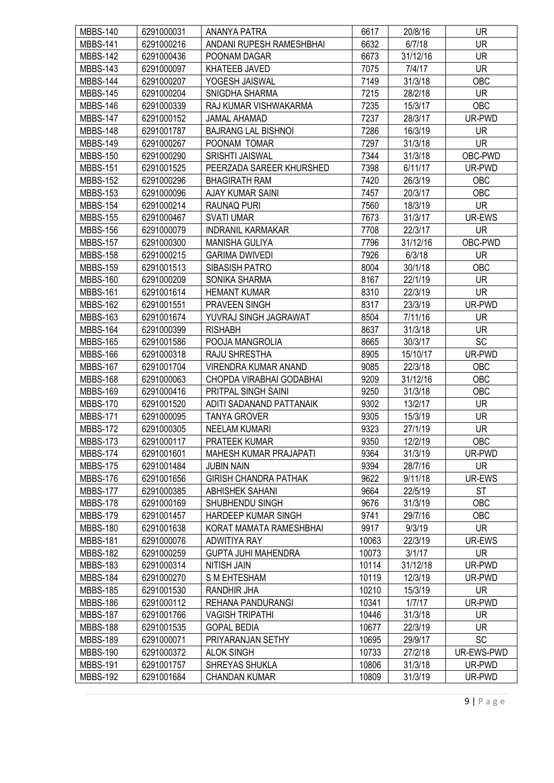| <b>MBBS-140</b> | 6291000031 | ANANYA PATRA                  | 6617  | 20/8/16  | UR.        |
|-----------------|------------|-------------------------------|-------|----------|------------|
| <b>MBBS-141</b> | 6291000216 | ANDANI RUPESH RAMESHBHAI      | 6632  | 6/7/18   | <b>UR</b>  |
| <b>MBBS-142</b> | 6291000436 | POONAM DAGAR                  | 6673  | 31/12/16 | <b>UR</b>  |
| <b>MBBS-143</b> | 6291000097 | KHATEEB JAVED                 | 7075  | 7/4/17   | <b>UR</b>  |
| MBBS-144        | 6291000207 | YOGESH JAISWAL                | 7149  | 31/3/18  | <b>OBC</b> |
| <b>MBBS-145</b> | 6291000204 | SNIGDHA SHARMA                | 7215  | 28/2/18  | <b>UR</b>  |
| <b>MBBS-146</b> | 6291000339 | RAJ KUMAR VISHWAKARMA         | 7235  | 15/3/17  | OBC        |
| <b>MBBS-147</b> | 6291000152 | <b>JAMAL AHAMAD</b>           | 7237  | 28/3/17  | UR-PWD     |
| <b>MBBS-148</b> | 6291001787 | <b>BAJRANG LAL BISHNOI</b>    | 7286  | 16/3/19  | <b>UR</b>  |
| <b>MBBS-149</b> | 6291000267 | POONAM TOMAR                  | 7297  | 31/3/18  | <b>UR</b>  |
| <b>MBBS-150</b> | 6291000290 | <b>SRISHTI JAISWAL</b>        | 7344  | 31/3/18  | OBC-PWD    |
| <b>MBBS-151</b> | 6291001525 | PEERZADA SAREER KHURSHED      | 7398  | 6/11/17  | UR-PWD     |
| <b>MBBS-152</b> | 6291000296 | <b>BHAGIRATH RAM</b>          | 7420  | 26/3/19  | <b>OBC</b> |
| <b>MBBS-153</b> | 6291000096 | AJAY KUMAR SAINI              | 7457  | 20/3/17  | <b>OBC</b> |
| <b>MBBS-154</b> | 6291000214 | <b>RAUNAQ PURI</b>            | 7560  | 18/3/19  | <b>UR</b>  |
| <b>MBBS-155</b> | 6291000467 | <b>SVATI UMAR</b>             | 7673  | 31/3/17  | UR-EWS     |
| <b>MBBS-156</b> | 6291000079 | <b>INDRANIL KARMAKAR</b>      | 7708  | 22/3/17  | <b>UR</b>  |
|                 | 6291000300 |                               | 7796  |          | OBC-PWD    |
| <b>MBBS-157</b> |            | MANISHA GULIYA                |       | 31/12/16 |            |
| <b>MBBS-158</b> | 6291000215 | <b>GARIMA DWIVEDI</b>         | 7926  | 6/3/18   | <b>UR</b>  |
| <b>MBBS-159</b> | 6291001513 | SIBASISH PATRO                | 8004  | 30/1/18  | OBC        |
| <b>MBBS-160</b> | 6291000209 | SONIKA SHARMA                 | 8167  | 22/1/19  | <b>UR</b>  |
| <b>MBBS-161</b> | 6291001614 | <b>HEMANT KUMAR</b>           | 8310  | 22/3/19  | <b>UR</b>  |
| <b>MBBS-162</b> | 6291001551 | PRAVEEN SINGH                 | 8317  | 23/3/19  | UR-PWD     |
| <b>MBBS-163</b> | 6291001674 | YUVRAJ SINGH JAGRAWAT         | 8504  | 7/11/16  | <b>UR</b>  |
| <b>MBBS-164</b> | 6291000399 | <b>RISHABH</b>                | 8637  | 31/3/18  | <b>UR</b>  |
| <b>MBBS-165</b> | 6291001586 | POOJA MANGROLIA               | 8665  | 30/3/17  | SC         |
| <b>MBBS-166</b> | 6291000318 | RAJU SHRESTHA                 | 8905  | 15/10/17 | UR-PWD     |
| <b>MBBS-167</b> | 6291001704 | <b>VIRENDRA KUMAR ANAND</b>   | 9085  | 22/3/18  | OBC        |
| <b>MBBS-168</b> | 6291000063 | CHOPDA VIRABHAI GODABHAI      | 9209  | 31/12/16 | OBC        |
| <b>MBBS-169</b> | 6291000416 | PRITPAL SINGH SAINI           | 9250  | 31/3/18  | OBC        |
| <b>MBBS-170</b> | 6291001520 | ADITI SADANAND PATTANAIK      | 9302  | 13/2/17  | <b>UR</b>  |
| <b>MBBS-171</b> | 6291000095 | <b>TANYA GROVER</b>           | 9305  | 15/3/19  | <b>UR</b>  |
| <b>MBBS-172</b> | 6291000305 | <b>NEELAM KUMARI</b>          | 9323  | 27/1/19  | <b>UR</b>  |
| <b>MBBS-173</b> | 6291000117 | PRATEEK KUMAR                 | 9350  | 12/2/19  | OBC        |
| <b>MBBS-174</b> | 6291001601 | <b>MAHESH KUMAR PRAJAPATI</b> | 9364  | 31/3/19  | UR-PWD     |
| <b>MBBS-175</b> | 6291001484 | <b>JUBIN NAIN</b>             | 9394  | 28/7/16  | UR.        |
| <b>MBBS-176</b> | 6291001656 | <b>GIRISH CHANDRA PATHAK</b>  | 9622  | 9/11/18  | UR-EWS     |
| <b>MBBS-177</b> | 6291000385 | <b>ABHISHEK SAHANI</b>        | 9664  | 22/5/19  | <b>ST</b>  |
| <b>MBBS-178</b> | 6291000169 | SHUBHENDU SINGH               | 9676  | 31/3/19  | OBC        |
| <b>MBBS-179</b> | 6291001457 | HARDEEP KUMAR SINGH           | 9741  | 29/7/16  | OBC        |
| <b>MBBS-180</b> | 6291001638 | KORAT MAMATA RAMESHBHAI       | 9917  | 9/3/19   | UR.        |
| <b>MBBS-181</b> | 6291000076 | ADWITIYA RAY                  | 10063 | 22/3/19  | UR-EWS     |
| <b>MBBS-182</b> | 6291000259 | <b>GUPTA JUHI MAHENDRA</b>    | 10073 | 3/1/17   | <b>UR</b>  |
| <b>MBBS-183</b> | 6291000314 | <b>NITISH JAIN</b>            | 10114 | 31/12/18 | UR-PWD     |
| <b>MBBS-184</b> | 6291000270 | S M EHTESHAM                  | 10119 | 12/3/19  | UR-PWD     |
| <b>MBBS-185</b> | 6291001530 | RANDHIR JHA                   | 10210 | 15/3/19  | <b>UR</b>  |
| <b>MBBS-186</b> | 6291000112 | REHANA PANDURANGI             | 10341 | 1/7/17   | UR-PWD     |
| <b>MBBS-187</b> | 6291001766 | <b>VAGISH TRIPATHI</b>        | 10446 | 31/3/18  | UR         |
| <b>MBBS-188</b> | 6291001535 | <b>GOPAL BEDIA</b>            | 10677 | 22/3/19  | <b>UR</b>  |
| <b>MBBS-189</b> | 6291000071 | PRIYARANJAN SETHY             | 10695 | 29/9/17  | <b>SC</b>  |
| <b>MBBS-190</b> | 6291000372 | <b>ALOK SINGH</b>             | 10733 | 27/2/18  | UR-EWS-PWD |
| <b>MBBS-191</b> | 6291001757 | SHREYAS SHUKLA                | 10806 | 31/3/18  | UR-PWD     |
| <b>MBBS-192</b> | 6291001684 | <b>CHANDAN KUMAR</b>          | 10809 | 31/3/19  | UR-PWD     |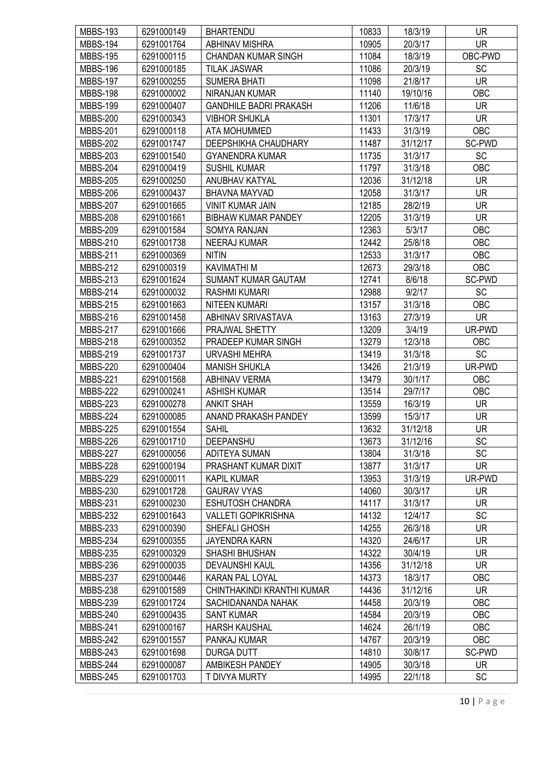| <b>MBBS-193</b> | 6291000149 | <b>BHARTENDU</b>              | 10833 | 18/3/19  | <b>UR</b>  |
|-----------------|------------|-------------------------------|-------|----------|------------|
| <b>MBBS-194</b> | 6291001764 | <b>ABHINAV MISHRA</b>         | 10905 | 20/3/17  | <b>UR</b>  |
| <b>MBBS-195</b> | 6291000115 | <b>CHANDAN KUMAR SINGH</b>    | 11084 | 18/3/19  | OBC-PWD    |
| <b>MBBS-196</b> | 6291000185 | <b>TILAK JASWAR</b>           | 11086 | 20/3/19  | SC         |
| <b>MBBS-197</b> | 6291000255 | <b>SUMERA BHATI</b>           | 11098 | 21/8/17  | <b>UR</b>  |
| <b>MBBS-198</b> | 6291000002 | NIRANJAN KUMAR                | 11140 | 19/10/16 | OBC        |
| <b>MBBS-199</b> | 6291000407 | <b>GANDHILE BADRI PRAKASH</b> | 11206 | 11/6/18  | <b>UR</b>  |
| <b>MBBS-200</b> | 6291000343 | <b>VIBHOR SHUKLA</b>          | 11301 | 17/3/17  | <b>UR</b>  |
| <b>MBBS-201</b> | 6291000118 | ATA MOHUMMED                  | 11433 | 31/3/19  | OBC        |
| <b>MBBS-202</b> | 6291001747 | DEEPSHIKHA CHAUDHARY          | 11487 | 31/12/17 | SC-PWD     |
| <b>MBBS-203</b> | 6291001540 | <b>GYANENDRA KUMAR</b>        | 11735 | 31/3/17  | SC         |
| <b>MBBS-204</b> | 6291000419 | <b>SUSHIL KUMAR</b>           | 11797 | 31/3/18  | OBC        |
| <b>MBBS-205</b> | 6291000250 | ANUBHAV KATYAL                | 12036 | 31/12/18 | UR         |
| <b>MBBS-206</b> | 6291000437 | BHAVNA MAYVAD                 | 12058 | 31/3/17  | <b>UR</b>  |
| <b>MBBS-207</b> | 6291001665 | <b>VINIT KUMAR JAIN</b>       | 12185 | 28/2/19  | <b>UR</b>  |
| <b>MBBS-208</b> | 6291001661 | <b>BIBHAW KUMAR PANDEY</b>    | 12205 | 31/3/19  | <b>UR</b>  |
| <b>MBBS-209</b> | 6291001584 | <b>SOMYA RANJAN</b>           | 12363 | 5/3/17   | OBC        |
| <b>MBBS-210</b> | 6291001738 | <b>NEERAJ KUMAR</b>           | 12442 | 25/8/18  | OBC        |
| <b>MBBS-211</b> | 6291000369 | <b>NITIN</b>                  | 12533 | 31/3/17  | OBC        |
| <b>MBBS-212</b> | 6291000319 | <b>KAVIMATHI M</b>            | 12673 | 29/3/18  | OBC        |
| <b>MBBS-213</b> | 6291001624 | <b>SUMANT KUMAR GAUTAM</b>    | 12741 | 8/6/18   | SC-PWD     |
| <b>MBBS-214</b> | 6291000032 | <b>RASHMI KUMARI</b>          | 12988 | 9/2/17   | <b>SC</b>  |
| <b>MBBS-215</b> | 6291001663 | NITEEN KUMARI                 | 13157 | 31/3/18  | <b>OBC</b> |
| <b>MBBS-216</b> | 6291001458 | ABHINAV SRIVASTAVA            | 13163 | 27/3/19  | <b>UR</b>  |
| <b>MBBS-217</b> | 6291001666 | PRAJWAL SHETTY                | 13209 | 3/4/19   | UR-PWD     |
| <b>MBBS-218</b> | 6291000352 | PRADEEP KUMAR SINGH           | 13279 | 12/3/18  | OBC        |
| <b>MBBS-219</b> | 6291001737 | <b>URVASHI MEHRA</b>          | 13419 | 31/3/18  | <b>SC</b>  |
| <b>MBBS-220</b> | 6291000404 | <b>MANISH SHUKLA</b>          | 13426 | 21/3/19  | UR-PWD     |
| <b>MBBS-221</b> | 6291001568 | <b>ABHINAV VERMA</b>          | 13479 | 30/1/17  | OBC        |
| <b>MBBS-222</b> | 6291000241 | <b>ASHISH KUMAR</b>           | 13514 | 29/7/17  | <b>OBC</b> |
| <b>MBBS-223</b> | 6291000278 | <b>ANKIT SHAH</b>             | 13559 | 16/3/19  | <b>UR</b>  |
| <b>MBBS-224</b> | 6291000085 | ANAND PRAKASH PANDEY          | 13599 | 15/3/17  | <b>UR</b>  |
| <b>MBBS-225</b> | 6291001554 | <b>SAHIL</b>                  | 13632 | 31/12/18 | <b>UR</b>  |
| <b>MBBS-226</b> | 6291001710 | DEEPANSHU                     | 13673 | 31/12/16 | SC         |
| <b>MBBS-227</b> | 6291000056 | <b>ADITEYA SUMAN</b>          | 13804 | 31/3/18  | SC         |
| <b>MBBS-228</b> | 6291000194 | PRASHANT KUMAR DIXIT          | 13877 | 31/3/17  | <b>UR</b>  |
| <b>MBBS-229</b> | 6291000011 | <b>KAPIL KUMAR</b>            | 13953 | 31/3/19  | UR-PWD     |
| <b>MBBS-230</b> | 6291001728 | <b>GAURAV VYAS</b>            | 14060 | 30/3/17  | <b>UR</b>  |
| <b>MBBS-231</b> | 6291000230 | <b>ESHUTOSH CHANDRA</b>       | 14117 | 31/3/17  | <b>UR</b>  |
| <b>MBBS-232</b> | 6291001643 | <b>VALLETI GOPIKRISHNA</b>    | 14132 | 12/4/17  | <b>SC</b>  |
| <b>MBBS-233</b> | 6291000390 | SHEFALI GHOSH                 | 14255 | 26/3/18  | UR.        |
| <b>MBBS-234</b> | 6291000355 | <b>JAYENDRA KARN</b>          | 14320 | 24/6/17  | <b>UR</b>  |
| <b>MBBS-235</b> | 6291000329 | SHASHI BHUSHAN                | 14322 | 30/4/19  | <b>UR</b>  |
| <b>MBBS-236</b> | 6291000035 | <b>DEVAUNSHI KAUL</b>         | 14356 | 31/12/18 | <b>UR</b>  |
| <b>MBBS-237</b> | 6291000446 | KARAN PAL LOYAL               | 14373 | 18/3/17  | OBC        |
| <b>MBBS-238</b> | 6291001589 | CHINTHAKINDI KRANTHI KUMAR    | 14436 | 31/12/16 | <b>UR</b>  |
| <b>MBBS-239</b> | 6291001724 | SACHIDANANDA NAHAK            | 14458 | 20/3/19  | OBC        |
| <b>MBBS-240</b> | 6291000435 | <b>SANT KUMAR</b>             | 14584 | 20/3/19  | OBC        |
| <b>MBBS-241</b> | 6291000167 | <b>HARSH KAUSHAL</b>          | 14624 | 26/1/19  | OBC        |
| <b>MBBS-242</b> | 6291001557 | PANKAJ KUMAR                  | 14767 | 20/3/19  | <b>OBC</b> |
| <b>MBBS-243</b> | 6291001698 | <b>DURGA DUTT</b>             | 14810 | 30/8/17  | SC-PWD     |
| <b>MBBS-244</b> | 6291000087 | <b>AMBIKESH PANDEY</b>        | 14905 | 30/3/18  | <b>UR</b>  |
| <b>MBBS-245</b> | 6291001703 | T DIVYA MURTY                 | 14995 | 22/1/18  | <b>SC</b>  |
|                 |            |                               |       |          |            |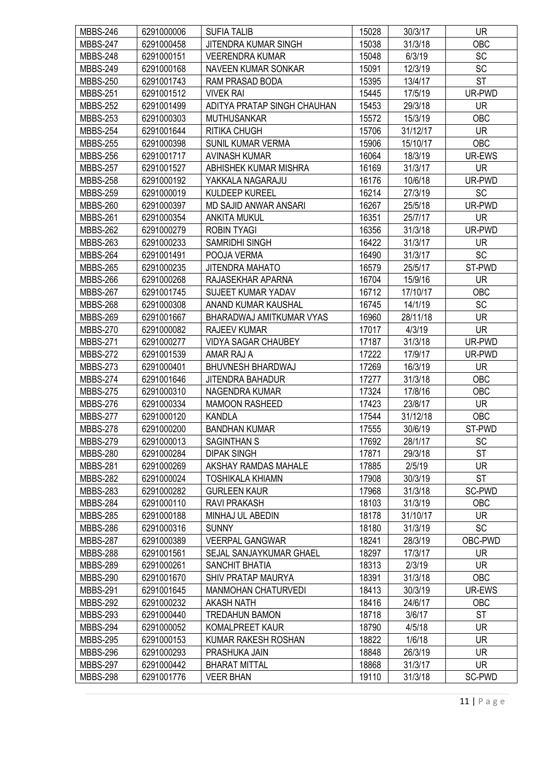| <b>MBBS-246</b>                    | 6291000006               | <b>SUFIA TALIB</b>                       | 15028          | 30/3/17            | <b>UR</b>           |
|------------------------------------|--------------------------|------------------------------------------|----------------|--------------------|---------------------|
| <b>MBBS-247</b>                    | 6291000458               | JITENDRA KUMAR SINGH                     | 15038          | 31/3/18            | OBC                 |
| <b>MBBS-248</b>                    | 6291000151               | <b>VEERENDRA KUMAR</b>                   | 15048          | 6/3/19             | <b>SC</b>           |
| <b>MBBS-249</b>                    | 6291000168               | <b>NAVEEN KUMAR SONKAR</b>               | 15091          | 12/3/19            | SC                  |
| <b>MBBS-250</b>                    | 6291001743               | RAM PRASAD BODA                          | 15395          | 13/4/17            | <b>ST</b>           |
| <b>MBBS-251</b>                    | 6291001512               | <b>VIVEK RAI</b>                         | 15445          | 17/5/19            | UR-PWD              |
| <b>MBBS-252</b>                    | 6291001499               | ADITYA PRATAP SINGH CHAUHAN              | 15453          | 29/3/18            | <b>UR</b>           |
| <b>MBBS-253</b>                    | 6291000303               | <b>MUTHUSANKAR</b>                       | 15572          | 15/3/19            | OBC                 |
| <b>MBBS-254</b>                    | 6291001644               | <b>RITIKA CHUGH</b>                      | 15706          | 31/12/17           | <b>UR</b>           |
| <b>MBBS-255</b>                    | 6291000398               | <b>SUNIL KUMAR VERMA</b>                 | 15906          | 15/10/17           | OBC                 |
| <b>MBBS-256</b>                    | 6291001717               | <b>AVINASH KUMAR</b>                     | 16064          | 18/3/19            | UR-EWS              |
| <b>MBBS-257</b>                    | 6291001527               | ABHISHEK KUMAR MISHRA                    | 16169          | 31/3/17            | UR.                 |
| <b>MBBS-258</b>                    | 6291000192               | YAKKALA NAGARAJU                         | 16176          | 10/6/18            | UR-PWD              |
| <b>MBBS-259</b>                    | 6291000019               | KULDEEP KUREEL                           | 16214          | 27/3/19            | SC                  |
| <b>MBBS-260</b>                    | 6291000397               | <b>MD SAJID ANWAR ANSARI</b>             | 16267          | 25/5/18            | UR-PWD              |
| <b>MBBS-261</b>                    | 6291000354               | <b>ANKITA MUKUL</b>                      | 16351          | 25/7/17            | <b>UR</b>           |
| <b>MBBS-262</b>                    | 6291000279               | <b>ROBIN TYAGI</b>                       | 16356          | 31/3/18            | UR-PWD              |
| <b>MBBS-263</b>                    | 6291000233               | <b>SAMRIDHI SINGH</b>                    | 16422          | 31/3/17            | <b>UR</b>           |
| <b>MBBS-264</b>                    | 6291001491               | POOJA VERMA                              | 16490          | 31/3/17            | <b>SC</b>           |
| <b>MBBS-265</b>                    | 6291000235               | JITENDRA MAHATO                          | 16579          | 25/5/17            | ST-PWD              |
| <b>MBBS-266</b>                    | 6291000268               | RAJASEKHAR APARNA                        | 16704          | 15/9/16            | <b>UR</b>           |
| <b>MBBS-267</b>                    | 6291001745               | <b>SUJEET KUMAR YADAV</b>                | 16712          | 17/10/17           | OBC                 |
| <b>MBBS-268</b>                    | 6291000308               | ANAND KUMAR KAUSHAL                      | 16745          | 14/1/19            | SC                  |
| <b>MBBS-269</b>                    | 6291001667               | BHARADWAJ AMITKUMAR VYAS                 | 16960          | 28/11/18           | <b>UR</b>           |
|                                    |                          |                                          |                |                    |                     |
| <b>MBBS-270</b>                    | 6291000082               | <b>RAJEEV KUMAR</b>                      | 17017<br>17187 | 4/3/19             | <b>UR</b><br>UR-PWD |
| <b>MBBS-271</b><br><b>MBBS-272</b> | 6291000277<br>6291001539 | <b>VIDYA SAGAR CHAUBEY</b><br>AMAR RAJ A | 17222          | 31/3/18<br>17/9/17 | UR-PWD              |
| <b>MBBS-273</b>                    | 6291000401               | <b>BHUVNESH BHARDWAJ</b>                 | 17269          | 16/3/19            | <b>UR</b>           |
| <b>MBBS-274</b>                    | 6291001646               | <b>JITENDRA BAHADUR</b>                  | 17277          | 31/3/18            | OBC                 |
| <b>MBBS-275</b>                    | 6291000310               | NAGENDRA KUMAR                           | 17324          | 17/8/16            | OBC                 |
| <b>MBBS-276</b>                    | 6291000334               | <b>MAMOON RASHEED</b>                    | 17423          | 23/8/17            | <b>UR</b>           |
|                                    |                          |                                          |                |                    |                     |
| <b>MBBS-277</b>                    | 6291000120<br>6291000200 | <b>KANDLA</b>                            | 17544          | 31/12/18           | <b>OBC</b>          |
| <b>MBBS-278</b>                    |                          | <b>BANDHAN KUMAR</b>                     | 17555          | 30/6/19            | ST-PWD              |
| <b>MBBS-279</b>                    | 6291000013               | SAGINTHAN S                              | 17692          | 28/1/17            | SC                  |
| <b>MBBS-280</b>                    | 6291000284               | <b>DIPAK SINGH</b>                       | 17871          | 29/3/18            | <b>ST</b>           |
| <b>MBBS-281</b>                    | 6291000269               | AKSHAY RAMDAS MAHALE                     | 17885          | 2/5/19             | <b>UR</b>           |
| <b>MBBS-282</b>                    | 6291000024               | <b>TOSHIKALA KHIAMN</b>                  | 17908          | 30/3/19            | <b>ST</b>           |
| <b>MBBS-283</b>                    | 6291000282               | <b>GURLEEN KAUR</b>                      | 17968          | 31/3/18            | SC-PWD              |
| <b>MBBS-284</b>                    | 6291000110               | RAVI PRAKASH                             | 18103          | 31/3/19            | OBC                 |
| <b>MBBS-285</b>                    | 6291000188               | MINHAJ UL ABEDIN                         | 18178          | 31/10/17           | UR.                 |
| <b>MBBS-286</b>                    | 6291000316               | <b>SUNNY</b>                             | 18180          | 31/3/19            | <b>SC</b>           |
| <b>MBBS-287</b>                    | 6291000389               | <b>VEERPAL GANGWAR</b>                   | 18241          | 28/3/19            | OBC-PWD             |
| <b>MBBS-288</b>                    | 6291001561               | SEJAL SANJAYKUMAR GHAEL                  | 18297          | 17/3/17            | UR.                 |
| <b>MBBS-289</b>                    | 6291000261               | SANCHIT BHATIA                           | 18313          | 2/3/19             | <b>UR</b>           |
| <b>MBBS-290</b>                    | 6291001670               | SHIV PRATAP MAURYA                       | 18391          | 31/3/18            | OBC                 |
| <b>MBBS-291</b>                    | 6291001645               | <b>MANMOHAN CHATURVEDI</b>               | 18413          | 30/3/19            | UR-EWS              |
| <b>MBBS-292</b>                    | 6291000232               | <b>AKASH NATH</b>                        | 18416          | 24/6/17            | OBC                 |
| <b>MBBS-293</b>                    | 6291000440               | <b>TREDAHUN BAMON</b>                    | 18718          | 3/6/17             | <b>ST</b>           |
| <b>MBBS-294</b>                    | 6291000052               | KOMALPREET KAUR                          | 18790          | 4/5/18             | <b>UR</b>           |
| <b>MBBS-295</b>                    | 6291000153               | KUMAR RAKESH ROSHAN                      | 18822          | 1/6/18             | <b>UR</b>           |
| <b>MBBS-296</b>                    | 6291000293               | PRASHUKA JAIN                            | 18848          | 26/3/19            | <b>UR</b>           |
| <b>MBBS-297</b>                    | 6291000442               | <b>BHARAT MITTAL</b>                     | 18868          | 31/3/17            | <b>UR</b>           |
| <b>MBBS-298</b>                    | 6291001776               | <b>VEER BHAN</b>                         | 19110          | 31/3/18            | SC-PWD              |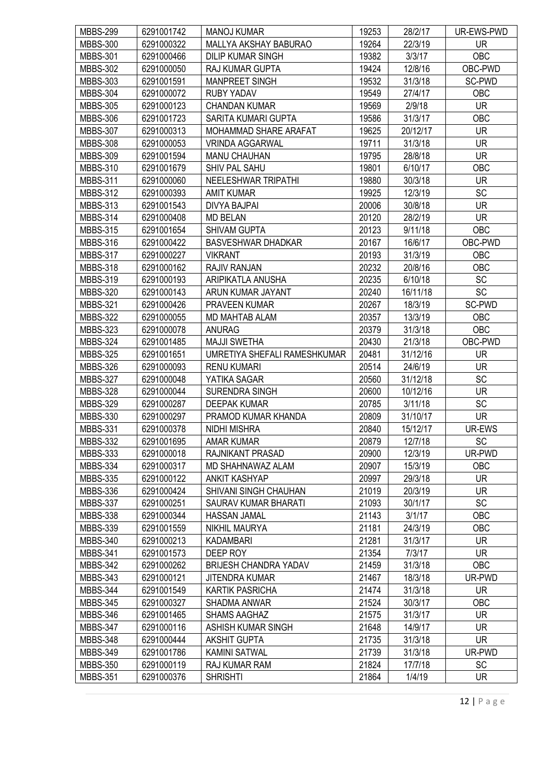| <b>MBBS-299</b>                    | 6291001742               | <b>MANOJ KUMAR</b>                   | 19253          | 28/2/17             | UR-EWS-PWD     |
|------------------------------------|--------------------------|--------------------------------------|----------------|---------------------|----------------|
| <b>MBBS-300</b>                    | 6291000322               | MALLYA AKSHAY BABURAO                | 19264          | 22/3/19             | <b>UR</b>      |
| <b>MBBS-301</b>                    | 6291000466               | <b>DILIP KUMAR SINGH</b>             | 19382          | 3/3/17              | OBC            |
| <b>MBBS-302</b>                    | 6291000050               | RAJ KUMAR GUPTA                      | 19424          | 12/8/16             | OBC-PWD        |
| <b>MBBS-303</b>                    | 6291001591               | <b>MANPREET SINGH</b>                | 19532          | 31/3/18             | SC-PWD         |
| <b>MBBS-304</b>                    | 6291000072               | <b>RUBY YADAV</b>                    | 19549          | 27/4/17             | <b>OBC</b>     |
| <b>MBBS-305</b>                    | 6291000123               | <b>CHANDAN KUMAR</b>                 | 19569          | 2/9/18              | <b>UR</b>      |
| <b>MBBS-306</b>                    | 6291001723               | <b>SARITA KUMARI GUPTA</b>           | 19586          | 31/3/17             | OBC            |
| <b>MBBS-307</b>                    | 6291000313               | MOHAMMAD SHARE ARAFAT                | 19625          | 20/12/17            | <b>UR</b>      |
| <b>MBBS-308</b>                    | 6291000053               | <b>VRINDA AGGARWAL</b>               | 19711          | 31/3/18             | <b>UR</b>      |
| <b>MBBS-309</b>                    | 6291001594               | <b>MANU CHAUHAN</b>                  | 19795          | 28/8/18             | <b>UR</b>      |
| <b>MBBS-310</b>                    | 6291001679               | SHIV PAL SAHU                        | 19801          | 6/10/17             | OBC            |
| <b>MBBS-311</b>                    | 6291000060               | NEELESHWAR TRIPATHI                  | 19880          | 30/3/18             | <b>UR</b>      |
| <b>MBBS-312</b>                    | 6291000393               | <b>AMIT KUMAR</b>                    | 19925          | 12/3/19             | SC             |
| <b>MBBS-313</b>                    | 6291001543               | <b>DIVYA BAJPAI</b>                  | 20006          | 30/8/18             | <b>UR</b>      |
| <b>MBBS-314</b>                    | 6291000408               | <b>MD BELAN</b>                      | 20120          | 28/2/19             | <b>UR</b>      |
| <b>MBBS-315</b>                    | 6291001654               | <b>SHIVAM GUPTA</b>                  | 20123          | 9/11/18             | OBC            |
| <b>MBBS-316</b>                    | 6291000422               | <b>BASVESHWAR DHADKAR</b>            | 20167          | 16/6/17             | OBC-PWD        |
| <b>MBBS-317</b>                    | 6291000227               | <b>VIKRANT</b>                       | 20193          | 31/3/19             | <b>OBC</b>     |
| <b>MBBS-318</b>                    | 6291000162               | <b>RAJIV RANJAN</b>                  | 20232          | 20/8/16             | OBC            |
| <b>MBBS-319</b>                    | 6291000193               | ARIPIKATLA ANUSHA                    | 20235          | 6/10/18             | <b>SC</b>      |
| <b>MBBS-320</b>                    | 6291000143               | ARUN KUMAR JAYANT                    | 20240          | 16/11/18            | SC             |
| <b>MBBS-321</b>                    | 6291000426               | <b>PRAVEEN KUMAR</b>                 | 20267          | 18/3/19             | SC-PWD         |
| <b>MBBS-322</b>                    | 6291000055               | MD MAHTAB ALAM                       | 20357          | 13/3/19             | OBC            |
|                                    |                          |                                      |                |                     |                |
| <b>MBBS-323</b>                    | 6291000078               | <b>ANURAG</b><br><b>MAJJI SWETHA</b> | 20379<br>20430 | 31/3/18             | OBC<br>OBC-PWD |
| <b>MBBS-324</b><br><b>MBBS-325</b> | 6291001485<br>6291001651 | UMRETIYA SHEFALI RAMESHKUMAR         | 20481          | 21/3/18<br>31/12/16 | <b>UR</b>      |
|                                    | 6291000093               |                                      |                |                     | <b>UR</b>      |
| <b>MBBS-326</b><br><b>MBBS-327</b> | 6291000048               | <b>RENU KUMARI</b><br>YATIKA SAGAR   | 20514<br>20560 | 24/6/19<br>31/12/18 | SC             |
| <b>MBBS-328</b>                    | 6291000044               | <b>SURENDRA SINGH</b>                | 20600          | 10/12/16            | <b>UR</b>      |
| <b>MBBS-329</b>                    | 6291000287               | <b>DEEPAK KUMAR</b>                  | 20785          | 3/11/18             | SC             |
|                                    | 6291000297               |                                      |                |                     | <b>UR</b>      |
| <b>MBBS-330</b>                    |                          | PRAMOD KUMAR KHANDA                  | 20809          | 31/10/17            | UR-EWS         |
| <b>MBBS-331</b>                    | 6291000378               | <b>NIDHI MISHRA</b>                  | 20840          | 15/12/17            |                |
| <b>MBBS-332</b>                    | 6291001695               | AMAR KUMAR                           | 20879          | 12/7/18             | SC             |
| <b>MBBS-333</b>                    | 6291000018               | RAJNIKANT PRASAD                     | 20900          | 12/3/19             | UR-PWD         |
| <b>MBBS-334</b>                    | 6291000317               | MD SHAHNAWAZ ALAM                    | 20907          | 15/3/19             | OBC            |
| <b>MBBS-335</b>                    | 6291000122               | <b>ANKIT KASHYAP</b>                 | 20997          | 29/3/18             | <b>UR</b>      |
| <b>MBBS-336</b>                    | 6291000424               | SHIVANI SINGH CHAUHAN                | 21019          | 20/3/19             | <b>UR</b>      |
| <b>MBBS-337</b>                    | 6291000251               | SAURAV KUMAR BHARATI                 | 21093          | 30/1/17             | SC             |
| <b>MBBS-338</b>                    | 6291000344               | <b>HASSAN JAMAL</b>                  | 21143          | 3/1/17              | OBC            |
| <b>MBBS-339</b>                    | 6291001559               | <b>NIKHIL MAURYA</b>                 | 21181          | 24/3/19             | <b>OBC</b>     |
| <b>MBBS-340</b>                    | 6291000213               | <b>KADAMBARI</b>                     | 21281          | 31/3/17             | <b>UR</b>      |
| <b>MBBS-341</b>                    | 6291001573               | DEEP ROY                             | 21354          | 7/3/17              | <b>UR</b>      |
| <b>MBBS-342</b>                    | 6291000262               | <b>BRIJESH CHANDRA YADAV</b>         | 21459          | 31/3/18             | OBC            |
| MBBS-343                           | 6291000121               | <b>JITENDRA KUMAR</b>                | 21467          | 18/3/18             | UR-PWD         |
| <b>MBBS-344</b>                    | 6291001549               | <b>KARTIK PASRICHA</b>               | 21474          | 31/3/18             | <b>UR</b>      |
| <b>MBBS-345</b>                    | 6291000327               | <b>SHADMA ANWAR</b>                  | 21524          | 30/3/17             | OBC            |
| <b>MBBS-346</b>                    | 6291001465               | <b>SHAMS AAGHAZ</b>                  | 21575          | 31/3/17             | <b>UR</b>      |
| <b>MBBS-347</b>                    | 6291000116               | ASHISH KUMAR SINGH                   | 21648          | 14/9/17             | <b>UR</b>      |
| <b>MBBS-348</b>                    | 6291000444               | <b>AKSHIT GUPTA</b>                  | 21735          | 31/3/18             | <b>UR</b>      |
| <b>MBBS-349</b>                    | 6291001786               | <b>KAMINI SATWAL</b>                 | 21739          | 31/3/18             | UR-PWD         |
| <b>MBBS-350</b>                    | 6291000119               | RAJ KUMAR RAM                        | 21824          | 17/7/18             | <b>SC</b>      |
| <b>MBBS-351</b>                    | 6291000376               | <b>SHRISHTI</b>                      | 21864          | 1/4/19              | <b>UR</b>      |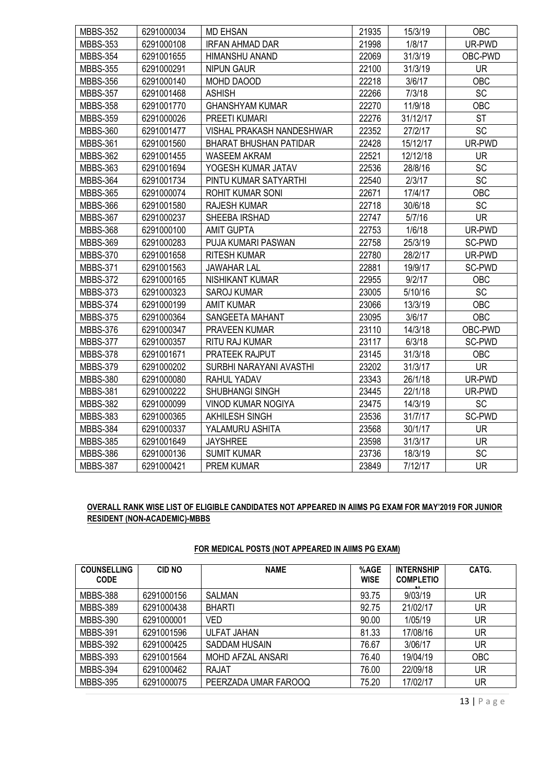| <b>MBBS-352</b> | 6291000034 | <b>MD EHSAN</b>               | 21935 | 15/3/19  | <b>OBC</b> |
|-----------------|------------|-------------------------------|-------|----------|------------|
| <b>MBBS-353</b> | 6291000108 | <b>IRFAN AHMAD DAR</b>        | 21998 | 1/8/17   | UR-PWD     |
| <b>MBBS-354</b> | 6291001655 | HIMANSHU ANAND                | 22069 | 31/3/19  | OBC-PWD    |
| <b>MBBS-355</b> | 6291000291 | <b>NIPUN GAUR</b>             | 22100 | 31/3/19  | <b>UR</b>  |
| <b>MBBS-356</b> | 6291000140 | MOHD DAOOD                    | 22218 | 3/6/17   | <b>OBC</b> |
| <b>MBBS-357</b> | 6291001468 | <b>ASHISH</b>                 | 22266 | 7/3/18   | <b>SC</b>  |
| <b>MBBS-358</b> | 6291001770 | <b>GHANSHYAM KUMAR</b>        | 22270 | 11/9/18  | OBC        |
| <b>MBBS-359</b> | 6291000026 | PREETI KUMARI                 | 22276 | 31/12/17 | <b>ST</b>  |
| <b>MBBS-360</b> | 6291001477 | VISHAL PRAKASH NANDESHWAR     | 22352 | 27/2/17  | SC         |
| <b>MBBS-361</b> | 6291001560 | <b>BHARAT BHUSHAN PATIDAR</b> | 22428 | 15/12/17 | UR-PWD     |
| <b>MBBS-362</b> | 6291001455 | WASEEM AKRAM                  | 22521 | 12/12/18 | <b>UR</b>  |
| <b>MBBS-363</b> | 6291001694 | YOGESH KUMAR JATAV            | 22536 | 28/8/16  | SC         |
| <b>MBBS-364</b> | 6291001734 | PINTU KUMAR SATYARTHI         | 22540 | 2/3/17   | SC         |
| <b>MBBS-365</b> | 6291000074 | ROHIT KUMAR SONI              | 22671 | 17/4/17  | OBC        |
| <b>MBBS-366</b> | 6291001580 | <b>RAJESH KUMAR</b>           | 22718 | 30/6/18  | <b>SC</b>  |
| <b>MBBS-367</b> | 6291000237 | SHEEBA IRSHAD                 | 22747 | 5/7/16   | <b>UR</b>  |
| <b>MBBS-368</b> | 6291000100 | <b>AMIT GUPTA</b>             | 22753 | 1/6/18   | UR-PWD     |
| <b>MBBS-369</b> | 6291000283 | PUJA KUMARI PASWAN            | 22758 | 25/3/19  | SC-PWD     |
| <b>MBBS-370</b> | 6291001658 | <b>RITESH KUMAR</b>           | 22780 | 28/2/17  | UR-PWD     |
| <b>MBBS-371</b> | 6291001563 | <b>JAWAHAR LAL</b>            | 22881 | 19/9/17  | SC-PWD     |
| <b>MBBS-372</b> | 6291000165 | <b>NISHIKANT KUMAR</b>        | 22955 | 9/2/17   | <b>OBC</b> |
| <b>MBBS-373</b> | 6291000323 | <b>SAROJ KUMAR</b>            | 23005 | 5/10/16  | SC         |
| <b>MBBS-374</b> | 6291000199 | <b>AMIT KUMAR</b>             | 23066 | 13/3/19  | OBC        |
| <b>MBBS-375</b> | 6291000364 | SANGEETA MAHANT               | 23095 | 3/6/17   | OBC        |
| <b>MBBS-376</b> | 6291000347 | <b>PRAVEEN KUMAR</b>          | 23110 | 14/3/18  | OBC-PWD    |
| <b>MBBS-377</b> | 6291000357 | RITU RAJ KUMAR                | 23117 | 6/3/18   | SC-PWD     |
| <b>MBBS-378</b> | 6291001671 | PRATEEK RAJPUT                | 23145 | 31/3/18  | OBC        |
| <b>MBBS-379</b> | 6291000202 | SURBHI NARAYANI AVASTHI       | 23202 | 31/3/17  | <b>UR</b>  |
| <b>MBBS-380</b> | 6291000080 | RAHUL YADAV                   | 23343 | 26/1/18  | UR-PWD     |
| <b>MBBS-381</b> | 6291000222 | SHUBHANGI SINGH               | 23445 | 22/1/18  | UR-PWD     |
| <b>MBBS-382</b> | 6291000099 | <b>VINOD KUMAR NOGIYA</b>     | 23475 | 14/3/19  | <b>SC</b>  |
| <b>MBBS-383</b> | 6291000365 | AKHILESH SINGH                | 23536 | 31/7/17  | SC-PWD     |
| <b>MBBS-384</b> | 6291000337 | YALAMURU ASHITA               | 23568 | 30/1/17  | <b>UR</b>  |
| <b>MBBS-385</b> | 6291001649 | <b>JAYSHREE</b>               | 23598 | 31/3/17  | <b>UR</b>  |
| <b>MBBS-386</b> | 6291000136 | <b>SUMIT KUMAR</b>            | 23736 | 18/3/19  | SC         |
| <b>MBBS-387</b> | 6291000421 | PREM KUMAR                    | 23849 | 7/12/17  | <b>UR</b>  |

# OVERALL RANK WISE LIST OF ELIGIBLE CANDIDATES NOT APPEARED IN AIIMS PG EXAM FOR MAY'2019 FOR JUNIOR RESIDENT (NON-ACADEMIC)-MBBS

## FOR MEDICAL POSTS (NOT APPEARED IN AIIMS PG EXAM)

| <b>COUNSELLING</b><br><b>CODE</b> | <b>CID NO</b> | <b>NAME</b>          | %AGE<br><b>WISE</b> | <b>INTERNSHIP</b><br><b>COMPLETIO</b> | CATG.      |
|-----------------------------------|---------------|----------------------|---------------------|---------------------------------------|------------|
| <b>MBBS-388</b>                   | 6291000156    | <b>SALMAN</b>        | 93.75               | 9/03/19                               | UR         |
| <b>MBBS-389</b>                   | 6291000438    | <b>BHARTI</b>        | 92.75               | 21/02/17                              | UR         |
| <b>MBBS-390</b>                   | 6291000001    | VED                  | 90.00               | 1/05/19                               | UR         |
| <b>MBBS-391</b>                   | 6291001596    | <b>ULFAT JAHAN</b>   | 81.33               | 17/08/16                              | UR         |
| <b>MBBS-392</b>                   | 6291000425    | SADDAM HUSAIN        | 76.67               | 3/06/17                               | UR         |
| <b>MBBS-393</b>                   | 6291001564    | MOHD AFZAL ANSARI    | 76.40               | 19/04/19                              | <b>OBC</b> |
| <b>MBBS-394</b>                   | 6291000462    | RAJAT                | 76.00               | 22/09/18                              | UR         |
| <b>MBBS-395</b>                   | 6291000075    | PEERZADA UMAR FAROOQ | 75.20               | 17/02/17                              | UR         |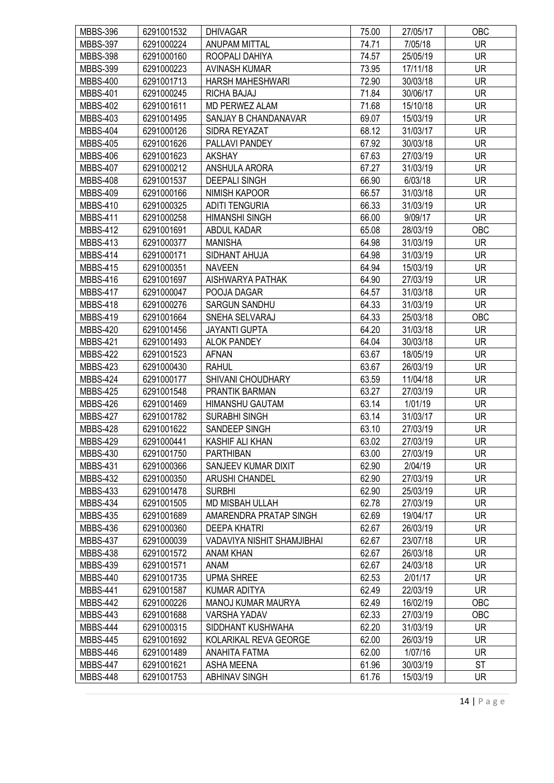| <b>MBBS-396</b> | 6291001532 | <b>DHIVAGAR</b>            | 75.00 | 27/05/17 | <b>OBC</b> |
|-----------------|------------|----------------------------|-------|----------|------------|
| <b>MBBS-397</b> | 6291000224 | <b>ANUPAM MITTAL</b>       | 74.71 | 7/05/18  | <b>UR</b>  |
| <b>MBBS-398</b> | 6291000160 | ROOPALI DAHIYA             | 74.57 | 25/05/19 | <b>UR</b>  |
| <b>MBBS-399</b> | 6291000223 | <b>AVINASH KUMAR</b>       | 73.95 | 17/11/18 | <b>UR</b>  |
| <b>MBBS-400</b> | 6291001713 | <b>HARSH MAHESHWARI</b>    | 72.90 | 30/03/18 | <b>UR</b>  |
| <b>MBBS-401</b> | 6291000245 | RICHA BAJAJ                | 71.84 | 30/06/17 | <b>UR</b>  |
| <b>MBBS-402</b> | 6291001611 | <b>MD PERWEZ ALAM</b>      | 71.68 | 15/10/18 | <b>UR</b>  |
| <b>MBBS-403</b> | 6291001495 | SANJAY B CHANDANAVAR       | 69.07 | 15/03/19 | <b>UR</b>  |
| <b>MBBS-404</b> | 6291000126 | SIDRA REYAZAT              | 68.12 | 31/03/17 | <b>UR</b>  |
| <b>MBBS-405</b> | 6291001626 | PALLAVI PANDEY             | 67.92 | 30/03/18 | <b>UR</b>  |
| <b>MBBS-406</b> | 6291001623 | <b>AKSHAY</b>              | 67.63 | 27/03/19 | <b>UR</b>  |
| <b>MBBS-407</b> | 6291000212 | ANSHULA ARORA              | 67.27 | 31/03/19 | <b>UR</b>  |
| <b>MBBS-408</b> | 6291001537 | <b>DEEPALI SINGH</b>       | 66.90 | 6/03/18  | <b>UR</b>  |
| <b>MBBS-409</b> | 6291000166 | <b>NIMISH KAPOOR</b>       | 66.57 | 31/03/18 | <b>UR</b>  |
| <b>MBBS-410</b> | 6291000325 | <b>ADITI TENGURIA</b>      | 66.33 | 31/03/19 | <b>UR</b>  |
| <b>MBBS-411</b> | 6291000258 | <b>HIMANSHI SINGH</b>      | 66.00 | 9/09/17  | <b>UR</b>  |
| <b>MBBS-412</b> | 6291001691 | ABDUL KADAR                | 65.08 | 28/03/19 | OBC        |
| <b>MBBS-413</b> | 6291000377 | <b>MANISHA</b>             | 64.98 | 31/03/19 | <b>UR</b>  |
| <b>MBBS-414</b> | 6291000171 | SIDHANT AHUJA              | 64.98 | 31/03/19 | <b>UR</b>  |
| <b>MBBS-415</b> | 6291000351 | <b>NAVEEN</b>              | 64.94 | 15/03/19 | <b>UR</b>  |
| <b>MBBS-416</b> | 6291001697 | AISHWARYA PATHAK           | 64.90 | 27/03/19 | <b>UR</b>  |
| <b>MBBS-417</b> | 6291000047 | POOJA DAGAR                | 64.57 | 31/03/18 | <b>UR</b>  |
|                 | 6291000276 | <b>SARGUN SANDHU</b>       | 64.33 | 31/03/19 | <b>UR</b>  |
| <b>MBBS-418</b> |            |                            |       |          |            |
| <b>MBBS-419</b> | 6291001664 | SNEHA SELVARAJ             | 64.33 | 25/03/18 | OBC        |
| <b>MBBS-420</b> | 6291001456 | <b>JAYANTI GUPTA</b>       | 64.20 | 31/03/18 | <b>UR</b>  |
| <b>MBBS-421</b> | 6291001493 | <b>ALOK PANDEY</b>         | 64.04 | 30/03/18 | <b>UR</b>  |
| <b>MBBS-422</b> | 6291001523 | <b>AFNAN</b>               | 63.67 | 18/05/19 | <b>UR</b>  |
| <b>MBBS-423</b> | 6291000430 | <b>RAHUL</b>               | 63.67 | 26/03/19 | UR         |
| <b>MBBS-424</b> | 6291000177 | SHIVANI CHOUDHARY          | 63.59 | 11/04/18 | <b>UR</b>  |
| <b>MBBS-425</b> | 6291001548 | PRANTIK BARMAN             | 63.27 | 27/03/19 | <b>UR</b>  |
| <b>MBBS-426</b> | 6291001469 | <b>HIMANSHU GAUTAM</b>     | 63.14 | 1/01/19  | <b>UR</b>  |
| <b>MBBS-427</b> | 6291001782 | <b>SURABHI SINGH</b>       | 63.14 | 31/03/17 | <b>UR</b>  |
| <b>MBBS-428</b> | 6291001622 | SANDEEP SINGH              | 63.10 | 27/03/19 | UR         |
| <b>MBBS-429</b> | 6291000441 | KASHIF ALI KHAN            | 63.02 | 27/03/19 | <b>UR</b>  |
| <b>MBBS-430</b> | 6291001750 | <b>PARTHIBAN</b>           | 63.00 | 27/03/19 | <b>UR</b>  |
| <b>MBBS-431</b> | 6291000366 | SANJEEV KUMAR DIXIT        | 62.90 | 2/04/19  | <b>UR</b>  |
| <b>MBBS-432</b> | 6291000350 | <b>ARUSHI CHANDEL</b>      | 62.90 | 27/03/19 | <b>UR</b>  |
| <b>MBBS-433</b> | 6291001478 | <b>SURBHI</b>              | 62.90 | 25/03/19 | <b>UR</b>  |
| <b>MBBS-434</b> | 6291001505 | MD MISBAH ULLAH            | 62.78 | 27/03/19 | <b>UR</b>  |
| <b>MBBS-435</b> | 6291001689 | AMARENDRA PRATAP SINGH     | 62.69 | 19/04/17 | <b>UR</b>  |
| MBBS-436        | 6291000360 | <b>DEEPA KHATRI</b>        | 62.67 | 26/03/19 | <b>UR</b>  |
| <b>MBBS-437</b> | 6291000039 | VADAVIYA NISHIT SHAMJIBHAI | 62.67 | 23/07/18 | <b>UR</b>  |
| <b>MBBS-438</b> | 6291001572 | ANAM KHAN                  | 62.67 | 26/03/18 | UR.        |
| <b>MBBS-439</b> | 6291001571 | ANAM                       | 62.67 | 24/03/18 | <b>UR</b>  |
| MBBS-440        | 6291001735 | <b>UPMA SHREE</b>          | 62.53 | 2/01/17  | <b>UR</b>  |
| <b>MBBS-441</b> | 6291001587 | KUMAR ADITYA               | 62.49 | 22/03/19 | <b>UR</b>  |
| <b>MBBS-442</b> | 6291000226 | <b>MANOJ KUMAR MAURYA</b>  | 62.49 | 16/02/19 | OBC        |
| <b>MBBS-443</b> | 6291001688 | VARSHA YADAV               | 62.33 | 27/03/19 | OBC        |
| <b>MBBS-444</b> | 6291000315 | SIDDHANT KUSHWAHA          | 62.20 | 31/03/19 | <b>UR</b>  |
| <b>MBBS-445</b> | 6291001692 | KOLARIKAL REVA GEORGE      | 62.00 | 26/03/19 | <b>UR</b>  |
| <b>MBBS-446</b> | 6291001489 | ANAHITA FATMA              | 62.00 | 1/07/16  | <b>UR</b>  |
| <b>MBBS-447</b> | 6291001621 | <b>ASHA MEENA</b>          | 61.96 | 30/03/19 | <b>ST</b>  |
| <b>MBBS-448</b> | 6291001753 | <b>ABHINAV SINGH</b>       | 61.76 | 15/03/19 | <b>UR</b>  |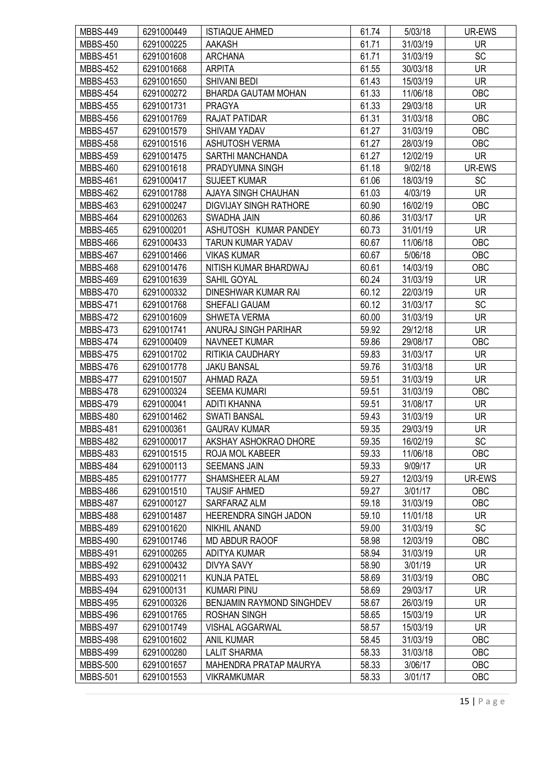| <b>MBBS-449</b> | 6291000449 | <b>ISTIAQUE AHMED</b>         | 61.74 | 5/03/18  | UR-EWS     |
|-----------------|------------|-------------------------------|-------|----------|------------|
| <b>MBBS-450</b> | 6291000225 | <b>AAKASH</b>                 | 61.71 | 31/03/19 | <b>UR</b>  |
| <b>MBBS-451</b> | 6291001608 | <b>ARCHANA</b>                | 61.71 | 31/03/19 | SC         |
| <b>MBBS-452</b> | 6291001668 | <b>ARPITA</b>                 | 61.55 | 30/03/18 | <b>UR</b>  |
| <b>MBBS-453</b> | 6291001650 | <b>SHIVANI BEDI</b>           | 61.43 | 15/03/19 | <b>UR</b>  |
| <b>MBBS-454</b> | 6291000272 | <b>BHARDA GAUTAM MOHAN</b>    | 61.33 | 11/06/18 | OBC        |
| <b>MBBS-455</b> | 6291001731 | <b>PRAGYA</b>                 | 61.33 | 29/03/18 | <b>UR</b>  |
| <b>MBBS-456</b> | 6291001769 | <b>RAJAT PATIDAR</b>          | 61.31 | 31/03/18 | OBC        |
| <b>MBBS-457</b> | 6291001579 | <b>SHIVAM YADAV</b>           | 61.27 | 31/03/19 | OBC        |
| <b>MBBS-458</b> | 6291001516 | <b>ASHUTOSH VERMA</b>         | 61.27 | 28/03/19 | OBC        |
| <b>MBBS-459</b> | 6291001475 | SARTHI MANCHANDA              | 61.27 | 12/02/19 | <b>UR</b>  |
| <b>MBBS-460</b> | 6291001618 | PRADYUMNA SINGH               | 61.18 | 9/02/18  | UR-EWS     |
| <b>MBBS-461</b> | 6291000417 | <b>SUJEET KUMAR</b>           | 61.06 | 18/03/19 | <b>SC</b>  |
| <b>MBBS-462</b> | 6291001788 | AJAYA SINGH CHAUHAN           | 61.03 | 4/03/19  | <b>UR</b>  |
| <b>MBBS-463</b> | 6291000247 | <b>DIGVIJAY SINGH RATHORE</b> | 60.90 | 16/02/19 | OBC        |
| <b>MBBS-464</b> | 6291000263 | SWADHA JAIN                   | 60.86 | 31/03/17 | <b>UR</b>  |
| <b>MBBS-465</b> | 6291000201 | ASHUTOSH KUMAR PANDEY         | 60.73 | 31/01/19 | <b>UR</b>  |
| <b>MBBS-466</b> | 6291000433 | <b>TARUN KUMAR YADAV</b>      | 60.67 | 11/06/18 | OBC        |
|                 |            |                               |       |          | OBC        |
| <b>MBBS-467</b> | 6291001466 | <b>VIKAS KUMAR</b>            | 60.67 | 5/06/18  |            |
| <b>MBBS-468</b> | 6291001476 | NITISH KUMAR BHARDWAJ         | 60.61 | 14/03/19 | OBC        |
| <b>MBBS-469</b> | 6291001639 | SAHIL GOYAL                   | 60.24 | 31/03/19 | UR         |
| <b>MBBS-470</b> | 6291000332 | DINESHWAR KUMAR RAI           | 60.12 | 22/03/19 | <b>UR</b>  |
| <b>MBBS-471</b> | 6291001768 | SHEFALI GAUAM                 | 60.12 | 31/03/17 | SC         |
| <b>MBBS-472</b> | 6291001609 | <b>SHWETA VERMA</b>           | 60.00 | 31/03/19 | <b>UR</b>  |
| <b>MBBS-473</b> | 6291001741 | ANURAJ SINGH PARIHAR          | 59.92 | 29/12/18 | <b>UR</b>  |
| <b>MBBS-474</b> | 6291000409 | <b>NAVNEET KUMAR</b>          | 59.86 | 29/08/17 | OBC        |
| <b>MBBS-475</b> | 6291001702 | RITIKIA CAUDHARY              | 59.83 | 31/03/17 | <b>UR</b>  |
| <b>MBBS-476</b> | 6291001778 | <b>JAKU BANSAL</b>            | 59.76 | 31/03/18 | <b>UR</b>  |
| <b>MBBS-477</b> | 6291001507 | AHMAD RAZA                    | 59.51 | 31/03/19 | <b>UR</b>  |
| <b>MBBS-478</b> | 6291000324 | <b>SEEMA KUMARI</b>           | 59.51 | 31/03/19 | OBC        |
| <b>MBBS-479</b> | 6291000041 | <b>ADITI KHANNA</b>           | 59.51 | 31/08/17 | <b>UR</b>  |
| <b>MBBS-480</b> | 6291001462 | <b>SWATI BANSAL</b>           | 59.43 | 31/03/19 | <b>UR</b>  |
| <b>MBBS-481</b> | 6291000361 | <b>GAURAV KUMAR</b>           | 59.35 | 29/03/19 | <b>UR</b>  |
| <b>MBBS-482</b> | 6291000017 | AKSHAY ASHOKRAO DHORE         | 59.35 | 16/02/19 | SC         |
| <b>MBBS-483</b> | 6291001515 | ROJA MOL KABEER               | 59.33 | 11/06/18 | <b>OBC</b> |
| <b>MBBS-484</b> | 6291000113 | <b>SEEMANS JAIN</b>           | 59.33 | 9/09/17  | <b>UR</b>  |
| <b>MBBS-485</b> | 6291001777 | SHAMSHEER ALAM                | 59.27 | 12/03/19 | UR-EWS     |
| <b>MBBS-486</b> | 6291001510 | <b>TAUSIF AHMED</b>           | 59.27 | 3/01/17  | OBC        |
| <b>MBBS-487</b> | 6291000127 | SARFARAZ ALM                  | 59.18 | 31/03/19 | OBC        |
| <b>MBBS-488</b> | 6291001487 | HEERENDRA SINGH JADON         | 59.10 | 11/01/18 | <b>UR</b>  |
| <b>MBBS-489</b> | 6291001620 | NIKHIL ANAND                  | 59.00 | 31/03/19 | <b>SC</b>  |
| <b>MBBS-490</b> | 6291001746 | MD ABDUR RAOOF                | 58.98 | 12/03/19 | OBC        |
| <b>MBBS-491</b> | 6291000265 | ADITYA KUMAR                  | 58.94 | 31/03/19 | <b>UR</b>  |
| <b>MBBS-492</b> | 6291000432 | <b>DIVYA SAVY</b>             | 58.90 | 3/01/19  | <b>UR</b>  |
| <b>MBBS-493</b> | 6291000211 | <b>KUNJA PATEL</b>            | 58.69 | 31/03/19 | OBC        |
| <b>MBBS-494</b> | 6291000131 | <b>KUMARI PINU</b>            | 58.69 | 29/03/17 | <b>UR</b>  |
| <b>MBBS-495</b> | 6291000326 | BENJAMIN RAYMOND SINGHDEV     | 58.67 | 26/03/19 | UR.        |
| <b>MBBS-496</b> | 6291001765 | ROSHAN SINGH                  | 58.65 | 15/03/19 | <b>UR</b>  |
| <b>MBBS-497</b> | 6291001749 | <b>VISHAL AGGARWAL</b>        | 58.57 | 15/03/19 | <b>UR</b>  |
| <b>MBBS-498</b> | 6291001602 | <b>ANIL KUMAR</b>             | 58.45 | 31/03/19 | OBC        |
| <b>MBBS-499</b> | 6291000280 | <b>LALIT SHARMA</b>           | 58.33 | 31/03/18 | OBC        |
| <b>MBBS-500</b> | 6291001657 | MAHENDRA PRATAP MAURYA        | 58.33 | 3/06/17  | OBC        |
| <b>MBBS-501</b> | 6291001553 | <b>VIKRAMKUMAR</b>            | 58.33 | 3/01/17  | OBC        |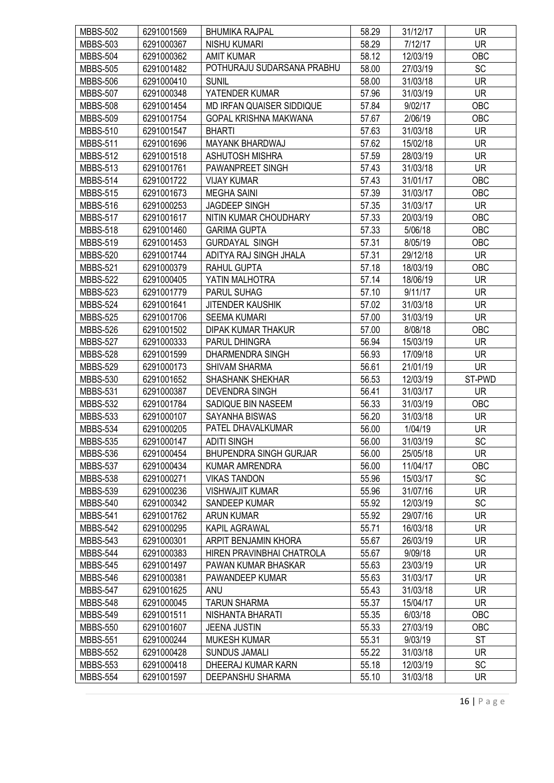| <b>MBBS-502</b> | 6291001569 | <b>BHUMIKA RAJPAL</b>            | 58.29 | 31/12/17 | <b>UR</b>  |
|-----------------|------------|----------------------------------|-------|----------|------------|
| <b>MBBS-503</b> | 6291000367 | <b>NISHU KUMARI</b>              | 58.29 | 7/12/17  | <b>UR</b>  |
| <b>MBBS-504</b> | 6291000362 | <b>AMIT KUMAR</b>                | 58.12 | 12/03/19 | OBC        |
| <b>MBBS-505</b> | 6291001482 | POTHURAJU SUDARSANA PRABHU       | 58.00 | 27/03/19 | <b>SC</b>  |
| <b>MBBS-506</b> | 6291000410 | <b>SUNIL</b>                     | 58.00 | 31/03/18 | <b>UR</b>  |
| <b>MBBS-507</b> | 6291000348 | YATENDER KUMAR                   | 57.96 | 31/03/19 | <b>UR</b>  |
| <b>MBBS-508</b> | 6291001454 | <b>MD IRFAN QUAISER SIDDIQUE</b> | 57.84 | 9/02/17  | OBC        |
| <b>MBBS-509</b> | 6291001754 | <b>GOPAL KRISHNA MAKWANA</b>     | 57.67 | 2/06/19  | OBC        |
| <b>MBBS-510</b> | 6291001547 | <b>BHARTI</b>                    | 57.63 | 31/03/18 | <b>UR</b>  |
| <b>MBBS-511</b> | 6291001696 | <b>MAYANK BHARDWAJ</b>           | 57.62 | 15/02/18 | <b>UR</b>  |
| <b>MBBS-512</b> | 6291001518 | <b>ASHUTOSH MISHRA</b>           | 57.59 | 28/03/19 | <b>UR</b>  |
| <b>MBBS-513</b> | 6291001761 | PAWANPREET SINGH                 | 57.43 | 31/03/18 | <b>UR</b>  |
| <b>MBBS-514</b> | 6291001722 | <b>VIJAY KUMAR</b>               | 57.43 | 31/01/17 | OBC        |
| <b>MBBS-515</b> | 6291001673 | <b>MEGHA SAINI</b>               | 57.39 | 31/03/17 | <b>OBC</b> |
| <b>MBBS-516</b> | 6291000253 | <b>JAGDEEP SINGH</b>             | 57.35 | 31/03/17 | <b>UR</b>  |
| <b>MBBS-517</b> | 6291001617 | NITIN KUMAR CHOUDHARY            | 57.33 | 20/03/19 | OBC        |
|                 | 6291001460 |                                  | 57.33 |          | OBC        |
| <b>MBBS-518</b> |            | <b>GARIMA GUPTA</b>              | 57.31 | 5/06/18  | OBC        |
| <b>MBBS-519</b> | 6291001453 | <b>GURDAYAL SINGH</b>            |       | 8/05/19  |            |
| <b>MBBS-520</b> | 6291001744 | ADITYA RAJ SINGH JHALA           | 57.31 | 29/12/18 | <b>UR</b>  |
| <b>MBBS-521</b> | 6291000379 | RAHUL GUPTA                      | 57.18 | 18/03/19 | OBC        |
| <b>MBBS-522</b> | 6291000405 | YATIN MALHOTRA                   | 57.14 | 18/06/19 | UR         |
| <b>MBBS-523</b> | 6291001779 | <b>PARUL SUHAG</b>               | 57.10 | 9/11/17  | <b>UR</b>  |
| <b>MBBS-524</b> | 6291001641 | <b>JITENDER KAUSHIK</b>          | 57.02 | 31/03/18 | <b>UR</b>  |
| <b>MBBS-525</b> | 6291001706 | <b>SEEMA KUMARI</b>              | 57.00 | 31/03/19 | <b>UR</b>  |
| <b>MBBS-526</b> | 6291001502 | DIPAK KUMAR THAKUR               | 57.00 | 8/08/18  | OBC        |
| <b>MBBS-527</b> | 6291000333 | PARUL DHINGRA                    | 56.94 | 15/03/19 | <b>UR</b>  |
| <b>MBBS-528</b> | 6291001599 | DHARMENDRA SINGH                 | 56.93 | 17/09/18 | <b>UR</b>  |
| <b>MBBS-529</b> | 6291000173 | <b>SHIVAM SHARMA</b>             | 56.61 | 21/01/19 | <b>UR</b>  |
| <b>MBBS-530</b> | 6291001652 | <b>SHASHANK SHEKHAR</b>          | 56.53 | 12/03/19 | ST-PWD     |
| <b>MBBS-531</b> | 6291000387 | <b>DEVENDRA SINGH</b>            | 56.41 | 31/03/17 | <b>UR</b>  |
| <b>MBBS-532</b> | 6291001784 | SADIQUE BIN NASEEM               | 56.33 | 31/03/19 | OBC        |
| <b>MBBS-533</b> | 6291000107 | <b>SAYANHA BISWAS</b>            | 56.20 | 31/03/18 | <b>UR</b>  |
| <b>MBBS-534</b> | 6291000205 | PATEL DHAVALKUMAR                | 56.00 | 1/04/19  | UR         |
| <b>MBBS-535</b> | 6291000147 | <b>ADITI SINGH</b>               | 56.00 | 31/03/19 | SC         |
| <b>MBBS-536</b> | 6291000454 | <b>BHUPENDRA SINGH GURJAR</b>    | 56.00 | 25/05/18 | <b>UR</b>  |
| <b>MBBS-537</b> | 6291000434 | KUMAR AMRENDRA                   | 56.00 | 11/04/17 | <b>OBC</b> |
| <b>MBBS-538</b> | 6291000271 | <b>VIKAS TANDON</b>              | 55.96 | 15/03/17 | <b>SC</b>  |
| <b>MBBS-539</b> | 6291000236 | <b>VISHWAJIT KUMAR</b>           | 55.96 | 31/07/16 | UR         |
| <b>MBBS-540</b> | 6291000342 | SANDEEP KUMAR                    | 55.92 | 12/03/19 | SC         |
| <b>MBBS-541</b> | 6291001762 | <b>ARUN KUMAR</b>                | 55.92 | 29/07/16 | <b>UR</b>  |
| <b>MBBS-542</b> | 6291000295 | <b>KAPIL AGRAWAL</b>             | 55.71 | 16/03/18 | <b>UR</b>  |
| <b>MBBS-543</b> | 6291000301 | ARPIT BENJAMIN KHORA             | 55.67 | 26/03/19 | UR.        |
| <b>MBBS-544</b> | 6291000383 | HIREN PRAVINBHAI CHATROLA        | 55.67 | 9/09/18  | UR         |
| <b>MBBS-545</b> | 6291001497 | PAWAN KUMAR BHASKAR              | 55.63 | 23/03/19 | <b>UR</b>  |
| <b>MBBS-546</b> | 6291000381 | PAWANDEEP KUMAR                  | 55.63 | 31/03/17 | UR         |
| <b>MBBS-547</b> | 6291001625 | ANU                              | 55.43 | 31/03/18 | UR         |
| <b>MBBS-548</b> | 6291000045 | <b>TARUN SHARMA</b>              | 55.37 | 15/04/17 | UR         |
| <b>MBBS-549</b> | 6291001511 | NISHANTA BHARATI                 | 55.35 | 6/03/18  | OBC        |
| <b>MBBS-550</b> | 6291001607 | <b>JEENA JUSTIN</b>              | 55.33 | 27/03/19 | OBC        |
| <b>MBBS-551</b> | 6291000244 | <b>MUKESH KUMAR</b>              | 55.31 | 9/03/19  | ST         |
| <b>MBBS-552</b> | 6291000428 | <b>SUNDUS JAMALI</b>             | 55.22 | 31/03/18 | UR         |
| <b>MBBS-553</b> | 6291000418 | DHEERAJ KUMAR KARN               | 55.18 | 12/03/19 | <b>SC</b>  |
| <b>MBBS-554</b> | 6291001597 | DEEPANSHU SHARMA                 | 55.10 | 31/03/18 | <b>UR</b>  |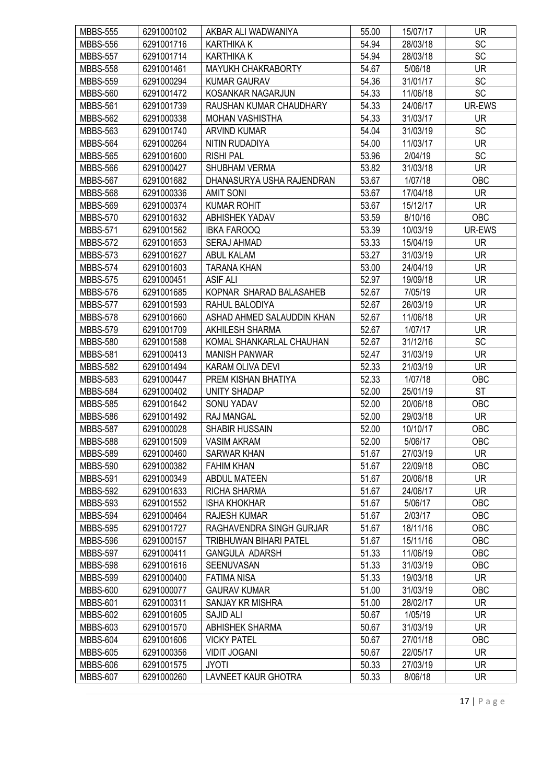| <b>MBBS-555</b> | 6291000102 | AKBAR ALI WADWANIYA           | 55.00 | 15/07/17 | <b>UR</b>  |
|-----------------|------------|-------------------------------|-------|----------|------------|
| <b>MBBS-556</b> | 6291001716 | <b>KARTHIKA K</b>             | 54.94 | 28/03/18 | <b>SC</b>  |
| <b>MBBS-557</b> | 6291001714 | <b>KARTHIKA K</b>             | 54.94 | 28/03/18 | <b>SC</b>  |
| <b>MBBS-558</b> | 6291001461 | MAYUKH CHAKRABORTY            | 54.67 | 5/06/18  | <b>UR</b>  |
| <b>MBBS-559</b> | 6291000294 | <b>KUMAR GAURAV</b>           | 54.36 | 31/01/17 | SC         |
| <b>MBBS-560</b> | 6291001472 | KOSANKAR NAGARJUN             | 54.33 | 11/06/18 | SC         |
| <b>MBBS-561</b> | 6291001739 | RAUSHAN KUMAR CHAUDHARY       | 54.33 | 24/06/17 | UR-EWS     |
| <b>MBBS-562</b> | 6291000338 | <b>MOHAN VASHISTHA</b>        | 54.33 | 31/03/17 | UR         |
| <b>MBBS-563</b> | 6291001740 | <b>ARVIND KUMAR</b>           | 54.04 | 31/03/19 | <b>SC</b>  |
| <b>MBBS-564</b> | 6291000264 | NITIN RUDADIYA                | 54.00 | 11/03/17 | UR         |
| <b>MBBS-565</b> | 6291001600 | <b>RISHI PAL</b>              | 53.96 | 2/04/19  | <b>SC</b>  |
| <b>MBBS-566</b> | 6291000427 | SHUBHAM VERMA                 | 53.82 | 31/03/18 | <b>UR</b>  |
| <b>MBBS-567</b> | 6291001682 | DHANASURYA USHA RAJENDRAN     | 53.67 | 1/07/18  | OBC        |
| <b>MBBS-568</b> | 6291000336 | <b>AMIT SONI</b>              | 53.67 | 17/04/18 | <b>UR</b>  |
| <b>MBBS-569</b> | 6291000374 | <b>KUMAR ROHIT</b>            | 53.67 | 15/12/17 | <b>UR</b>  |
| <b>MBBS-570</b> | 6291001632 | <b>ABHISHEK YADAV</b>         | 53.59 | 8/10/16  | OBC        |
| <b>MBBS-571</b> | 6291001562 | <b>IBKA FAROOQ</b>            | 53.39 | 10/03/19 | UR-EWS     |
| <b>MBBS-572</b> | 6291001653 | <b>SERAJ AHMAD</b>            | 53.33 | 15/04/19 | <b>UR</b>  |
| <b>MBBS-573</b> | 6291001627 | <b>ABUL KALAM</b>             | 53.27 | 31/03/19 | UR         |
| <b>MBBS-574</b> | 6291001603 | <b>TARANA KHAN</b>            | 53.00 | 24/04/19 | <b>UR</b>  |
| <b>MBBS-575</b> | 6291000451 | <b>ASIF ALI</b>               | 52.97 | 19/09/18 | UR         |
| <b>MBBS-576</b> | 6291001685 | KOPNAR SHARAD BALASAHEB       | 52.67 | 7/05/19  | <b>UR</b>  |
| <b>MBBS-577</b> | 6291001593 | RAHUL BALODIYA                | 52.67 | 26/03/19 | <b>UR</b>  |
| <b>MBBS-578</b> | 6291001660 | ASHAD AHMED SALAUDDIN KHAN    | 52.67 | 11/06/18 | <b>UR</b>  |
| <b>MBBS-579</b> | 6291001709 | <b>AKHILESH SHARMA</b>        | 52.67 | 1/07/17  | UR         |
| <b>MBBS-580</b> | 6291001588 | KOMAL SHANKARLAL CHAUHAN      | 52.67 | 31/12/16 | SC         |
| <b>MBBS-581</b> | 6291000413 | <b>MANISH PANWAR</b>          | 52.47 | 31/03/19 | <b>UR</b>  |
| <b>MBBS-582</b> | 6291001494 | KARAM OLIVA DEVI              | 52.33 | 21/03/19 | <b>UR</b>  |
| <b>MBBS-583</b> | 6291000447 | PREM KISHAN BHATIYA           | 52.33 | 1/07/18  | OBC        |
| <b>MBBS-584</b> | 6291000402 | UNITY SHADAP                  | 52.00 | 25/01/19 | <b>ST</b>  |
| <b>MBBS-585</b> | 6291001642 | SONU YADAV                    | 52.00 | 20/06/18 | OBC        |
| <b>MBBS-586</b> | 6291001492 | <b>RAJ MANGAL</b>             | 52.00 | 29/03/18 | <b>UR</b>  |
| <b>MBBS-587</b> | 6291000028 | SHABIR HUSSAIN                | 52.00 | 10/10/17 | OBC        |
| <b>MBBS-588</b> | 6291001509 | <b>VASIM AKRAM</b>            | 52.00 | 5/06/17  | OBC        |
| <b>MBBS-589</b> | 6291000460 | SARWAR KHAN                   | 51.67 | 27/03/19 | <b>UR</b>  |
| <b>MBBS-590</b> | 6291000382 | <b>FAHIM KHAN</b>             | 51.67 | 22/09/18 | OBC        |
| <b>MBBS-591</b> | 6291000349 | <b>ABDUL MATEEN</b>           | 51.67 | 20/06/18 | <b>UR</b>  |
| <b>MBBS-592</b> | 6291001633 | <b>RICHA SHARMA</b>           | 51.67 | 24/06/17 | <b>UR</b>  |
| <b>MBBS-593</b> | 6291001552 | <b>ISHA KHOKHAR</b>           | 51.67 | 5/06/17  | OBC        |
| <b>MBBS-594</b> | 6291000464 | RAJESH KUMAR                  | 51.67 | 2/03/17  | OBC        |
| <b>MBBS-595</b> | 6291001727 | RAGHAVENDRA SINGH GURJAR      | 51.67 | 18/11/16 | <b>OBC</b> |
| <b>MBBS-596</b> | 6291000157 | <b>TRIBHUWAN BIHARI PATEL</b> | 51.67 | 15/11/16 | OBC        |
| <b>MBBS-597</b> | 6291000411 | <b>GANGULA ADARSH</b>         | 51.33 | 11/06/19 | OBC        |
| <b>MBBS-598</b> | 6291001616 | SEENUVASAN                    | 51.33 | 31/03/19 | OBC        |
| <b>MBBS-599</b> | 6291000400 | <b>FATIMA NISA</b>            | 51.33 | 19/03/18 | <b>UR</b>  |
| <b>MBBS-600</b> | 6291000077 | <b>GAURAV KUMAR</b>           | 51.00 | 31/03/19 | OBC        |
| <b>MBBS-601</b> | 6291000311 | SANJAY KR MISHRA              | 51.00 | 28/02/17 | UR.        |
| <b>MBBS-602</b> | 6291001605 | <b>SAJID ALI</b>              | 50.67 | 1/05/19  | <b>UR</b>  |
| <b>MBBS-603</b> | 6291001570 | <b>ABHISHEK SHARMA</b>        | 50.67 | 31/03/19 | <b>UR</b>  |
| <b>MBBS-604</b> | 6291001606 | <b>VICKY PATEL</b>            | 50.67 | 27/01/18 | OBC        |
| <b>MBBS-605</b> | 6291000356 | <b>VIDIT JOGANI</b>           | 50.67 | 22/05/17 | UR         |
| <b>MBBS-606</b> | 6291001575 | <b>JYOTI</b>                  | 50.33 | 27/03/19 | UR.        |
| <b>MBBS-607</b> | 6291000260 | LAVNEET KAUR GHOTRA           | 50.33 | 8/06/18  | <b>UR</b>  |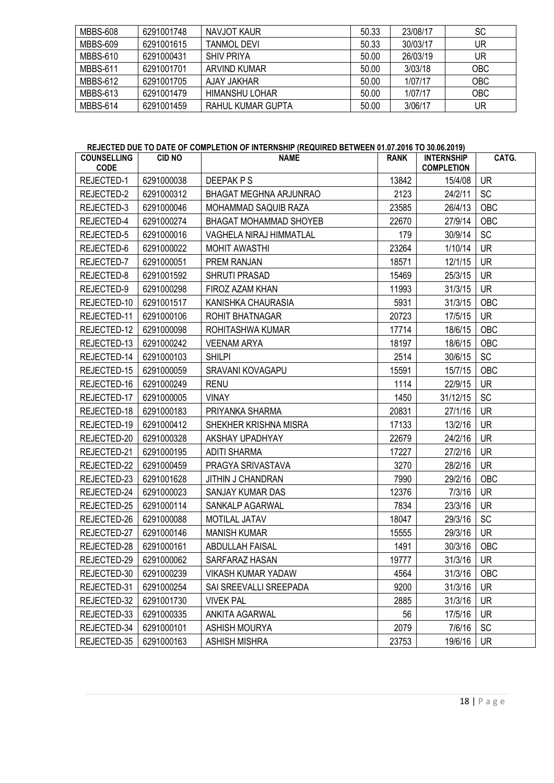| MBBS-608 | 6291001748 | NAVJOT KAUR       | 50.33 | 23/08/17 | <b>SC</b>  |
|----------|------------|-------------------|-------|----------|------------|
| MBBS-609 | 6291001615 | TANMOL DEVI       | 50.33 | 30/03/17 | UR         |
| MBBS-610 | 6291000431 | SHIV PRIYA        | 50.00 | 26/03/19 | UR         |
| MBBS-611 | 6291001701 | ARVIND KUMAR      | 50.00 | 3/03/18  | <b>OBC</b> |
| MBBS-612 | 6291001705 | AJAY JAKHAR       | 50.00 | 1/07/17  | <b>OBC</b> |
| MBBS-613 | 6291001479 | HIMANSHU LOHAR    | 50.00 | 1/07/17  | <b>OBC</b> |
| MBBS-614 | 6291001459 | RAHUL KUMAR GUPTA | 50.00 | 3/06/17  | UR         |

# REJECTED DUE TO DATE OF COMPLETION OF INTERNSHIP (REQUIRED BETWEEN 01.07.2016 TO 30.06.2019)

| <b>COUNSELLING</b><br><b>CODE</b> | <b>CID NO</b> | <b>NAME</b>                    | <b>RANK</b> | <b>INTERNSHIP</b><br><b>COMPLETION</b> | CATG.      |
|-----------------------------------|---------------|--------------------------------|-------------|----------------------------------------|------------|
| REJECTED-1                        | 6291000038    | DEEPAK P S                     | 13842       | 15/4/08                                | <b>UR</b>  |
| REJECTED-2                        | 6291000312    | BHAGAT MEGHNA ARJUNRAO         | 2123        | 24/2/11                                | <b>SC</b>  |
| REJECTED-3                        | 6291000046    | MOHAMMAD SAQUIB RAZA           | 23585       | 26/4/13                                | <b>OBC</b> |
| REJECTED-4                        | 6291000274    | <b>BHAGAT MOHAMMAD SHOYEB</b>  | 22670       | 27/9/14                                | <b>OBC</b> |
| REJECTED-5                        | 6291000016    | <b>VAGHELA NIRAJ HIMMATLAL</b> | 179         | 30/9/14                                | SC         |
| REJECTED-6                        | 6291000022    | <b>MOHIT AWASTHI</b>           | 23264       | 1/10/14                                | <b>UR</b>  |
| REJECTED-7                        | 6291000051    | PREM RANJAN                    | 18571       | 12/1/15                                | <b>UR</b>  |
| REJECTED-8                        | 6291001592    | <b>SHRUTI PRASAD</b>           | 15469       | 25/3/15                                | <b>UR</b>  |
| REJECTED-9                        | 6291000298    | FIROZ AZAM KHAN                | 11993       | 31/3/15                                | <b>UR</b>  |
| REJECTED-10                       | 6291001517    | KANISHKA CHAURASIA             | 5931        | 31/3/15                                | OBC        |
| REJECTED-11                       | 6291000106    | <b>ROHIT BHATNAGAR</b>         | 20723       | 17/5/15                                | <b>UR</b>  |
| REJECTED-12                       | 6291000098    | ROHITASHWA KUMAR               | 17714       | 18/6/15                                | OBC        |
| REJECTED-13                       | 6291000242    | <b>VEENAM ARYA</b>             | 18197       | 18/6/15                                | OBC        |
| REJECTED-14                       | 6291000103    | <b>SHILPI</b>                  | 2514        | 30/6/15                                | <b>SC</b>  |
| REJECTED-15                       | 6291000059    | <b>SRAVANI KOVAGAPU</b>        | 15591       | 15/7/15                                | <b>OBC</b> |
| REJECTED-16                       | 6291000249    | <b>RENU</b>                    | 1114        | 22/9/15                                | UR         |
| REJECTED-17                       | 6291000005    | <b>VINAY</b>                   | 1450        | 31/12/15                               | SC         |
| REJECTED-18                       | 6291000183    | PRIYANKA SHARMA                | 20831       | 27/1/16                                | <b>UR</b>  |
| REJECTED-19                       | 6291000412    | SHEKHER KRISHNA MISRA          | 17133       | 13/2/16                                | <b>UR</b>  |
| REJECTED-20                       | 6291000328    | AKSHAY UPADHYAY                | 22679       | 24/2/16                                | <b>UR</b>  |
| REJECTED-21                       | 6291000195    | <b>ADITI SHARMA</b>            | 17227       | 27/2/16                                | UR         |
| REJECTED-22                       | 6291000459    | PRAGYA SRIVASTAVA              | 3270        | 28/2/16                                | <b>UR</b>  |
| REJECTED-23                       | 6291001628    | JITHIN J CHANDRAN              | 7990        | 29/2/16                                | OBC        |
| REJECTED-24                       | 6291000023    | SANJAY KUMAR DAS               | 12376       | 7/3/16                                 | <b>UR</b>  |
| REJECTED-25                       | 6291000114    | SANKALP AGARWAL                | 7834        | 23/3/16                                | <b>UR</b>  |
| REJECTED-26                       | 6291000088    | <b>MOTILAL JATAV</b>           | 18047       | 29/3/16                                | SC         |
| REJECTED-27                       | 6291000146    | <b>MANISH KUMAR</b>            | 15555       | 29/3/16                                | <b>UR</b>  |
| REJECTED-28                       | 6291000161    | <b>ABDULLAH FAISAL</b>         | 1491        | 30/3/16                                | OBC        |
| REJECTED-29                       | 6291000062    | SARFARAZ HASAN                 | 19777       | 31/3/16                                | <b>UR</b>  |
| REJECTED-30                       | 6291000239    | <b>VIKASH KUMAR YADAW</b>      | 4564        | 31/3/16                                | OBC        |
| REJECTED-31                       | 6291000254    | SAI SREEVALLI SREEPADA         | 9200        | 31/3/16                                | <b>UR</b>  |
| REJECTED-32                       | 6291001730    | <b>VIVEK PAL</b>               | 2885        | 31/3/16                                | <b>UR</b>  |
| REJECTED-33                       | 6291000335    | ANKITA AGARWAL                 | 56          | 17/5/16                                | <b>UR</b>  |
| REJECTED-34                       | 6291000101    | ASHISH MOURYA                  | 2079        | 7/6/16                                 | <b>SC</b>  |
| REJECTED-35                       | 6291000163    | <b>ASHISH MISHRA</b>           | 23753       | 19/6/16                                | UR         |